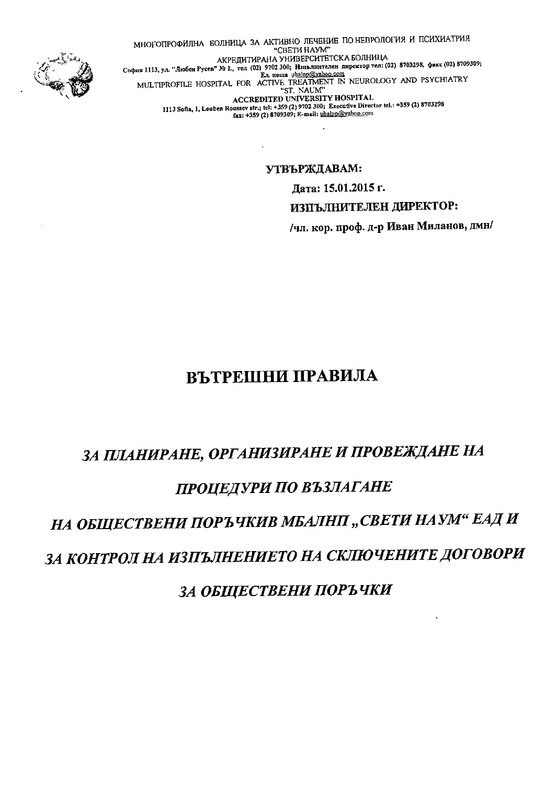

МНОГОПРОФИЛНА БОЛНИЦА ЗА АКТИВНО ЛЕЧЕНИЕ ПО НЕВРОЛОГИЯ И ПСИХИАТРИЯ "CBETH HAYM" АКРЕДИТИРАНА УНИВЕРСИТЕТСКА БОЛНИЦА AKPEJIM I MPAHA YHMBEPUMTETUKA BUJIHMILA<br>
Coфия 1113, ул. "Любен Русев" № 1., тел (02) 9702 300; Изпълнителен директор тел: (02) 8703298, факс (02) 8709309;<br>
E. . nousa ubalnp@yahoo.com<br>
MULTIPROFILE HOSPITAL FOR ACTIVE TR 1113 Sofia, 1, Loubes Roussev str.; tel: +359 (2) 9702 300; Executive Director tel.: +359 (2) 8703298 fax: +359 (2) 8709309; E-mail: ubalnp@yahoo.com

УТВЪРЖДАВАМ:

Дата: 15.01.2015 г.

ИЗПЪЛНИТЕЛЕН ДИРЕКТОР:

/чл. кор. проф. д-р Иван Миланов, дмн/

# ВЪТРЕШНИ ПРАВИЛА

# ЗА ПЛАНИРАНЕ, ОРГАНИЗИРАНЕ И ПРОВЕЖДАНЕ НА ПРОЦЕДУРИ ПО ВЪЗЛАГАНЕ НА ОБЩЕСТВЕНИ ПОРЪЧКИВ МБАЛНП, СВЕТИ НАУМ" ЕАД И

# ЗА КОНТРОЛ НА ИЗПЪЛНЕНИЕТО НА СКЛЮЧЕНИТЕ ДОГОВОРИ

ЗА ОБЩЕСТВЕНИ ПОРЪЧКИ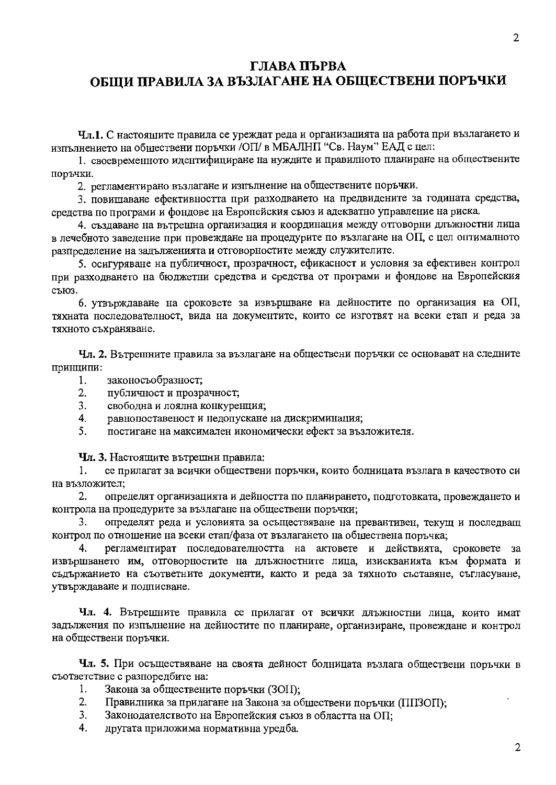# ГЛАВА ПЪРВА ОБЩИ ПРАВИЛА ЗА ВЪЗЛАГАНЕ НА ОБЩЕСТВЕНИ ПОРЪЧКИ

Чл.1. С настоящите правила се уреждат реда и организацията на работа при възлагането и изпълнението на обществени поръчки /ОП/ в МБАЛНП "Св. Наум" ЕАД с цел:

1. своевременното идентифициране на нуждите и правилното планиране на обществените поръчки.

2. регламентирано възлагане и изпълнение на обществените поръчки.

3. повишаване ефективността при разходването на предвидените за годината средства, средства по програми и фондове на Европейския съюз и адекватно управление на риска.

4. създаване на вътрешна организация и координация между отговорни длъжностни лица в лечебното заведение при провеждане на процедурите по възлагане на ОП, с цел оптималното разпределение на задълженията и отговорностите между служителите.

5. осигуряване на публичност, прозрачност, ефикасност и условия за ефективен контрол при разходването на бюджетни средства и средства от програми и фондове на Европейския съюз.

6. УТВърждаване на сроковете за извършване на дейностите по организация на ОП, тяхната последователност, вида на документите, които се изготвят на всеки етап и реда за тяхното съхраняване.

Чл. 2. Вътрешните правила за възлагане на обществени поръчки се основават на следните принципи:

- 1. законосъобразност;
- $2.$ публичност и прозрачност;
- $\overline{3}$ . свободна и лоялна конкуренция;
- $\overline{4}$ . равнопоставеност и недопускане на дискриминация;
- $5<sub>1</sub>$ постигане на максимален икономически ефект за възложителя.

Чл. 3. Настоящите вътрешни правила:

се прилагат за всички обществени поръчки, които болницата възлага в качеството си  $1.$ на възложител:

2. определят организацията и дейността по планирането, подготовката, провеждането и контрола на процедурите за възлагане на обществени поръчки;

3. определят реда и условията за осъществяване на превантивен, текущ и последващ контрол по отношение на всеки етап/фаза от възлагането на обществена поръчка;

регламентират последователността на актовете и действията, сроковете за  $\mathbf{4}$ . извършването им, отговорностите на длъжностните лица, изискванията към формата и съдържанието на съответните документи, както и реда за тяхното съставяне, съгласуване, утвърждаване и подписване.

Чл. 4. Вътрешните правила се прилагат от всички длъжностни лица, които имат задължения по изпълнение на дейностите по планиране, организиране, провеждане и контрол на обществени поръчки.

Чл. 5. При осъществяване на своята дейност болницата възлага обществени поръчки в съответствие с разпоредбите на:

- $1<sub>1</sub>$ Закона за обществените поръчки (ЗОП);
- $2.$ Правилника за прилагане на Закона за обществени поръчки (ППЗОП);
- $3<sub>1</sub>$ Законодателството на Европейския съюз в областта на ОП;
- $\overline{4}$ другата приложима нормативна уредба.

 $\overline{2}$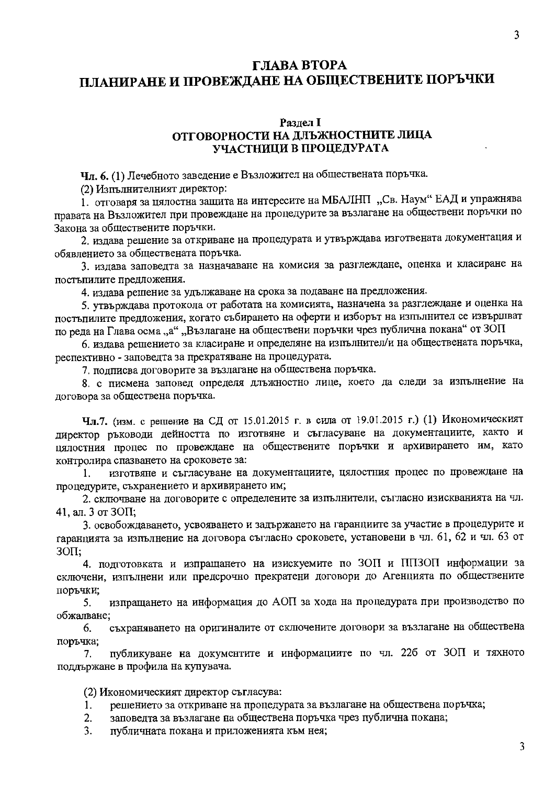# ГЛАВА ВТОРА ПЛАНИРАНЕ И ПРОВЕЖДАНЕ НА ОБЩЕСТВЕНИТЕ ПОРЪЧКИ

#### Разлел I ОТГОВОРНОСТИ НА ДЛЪЖНОСТНИТЕ ЛИЦА УЧАСТНИЦИ В ПРОЦЕДУРАТА

Чл. 6. (1) Лечебното заведение е Възложител на обществената поръчка.

(2) Изпълнителният директор:

1. отговаря за цялостна защита на интересите на МБАЛНП "Св. Наум" ЕАД и упражнява правата на Възложител при провеждане на процедурите за възлагане на обществени поръчки по Закона за обществените поръчки.

2. издава решение за откриване на процедурата и утвърждава изготвената документация и обявлението за обществената поръчка.

3. издава заповедта за назначаване на комисия за разглеждане, оценка и класиране на постыпилите предложения.

4. издава решение за удължаване на срока за подаване на предложения.

5. утвърждава протокола от работата на комисията, назначена за разглеждане и оценка на постъпилите предложения, когато събирането на оферти и изборът на изпълнител се извършват по реда на Глава осма "а" "Възлагане на обществени поръчки чрез публична покана" от ЗОП

6. издава решението за класиране и определяне на изпълнител/и на обществената поръчка, респективно - заповедта за прекратяване на процедурата.

7. подписва договорите за възлагане на обществена поръчка.

8. с писмена заповед определя длъжностно лице, което да следи за изпълнение на договора за обществена поръчка.

**Чл.7.** (изм. с решение на СД от 15.01.2015 г. в сила от 19.01.2015 г.) (1) Икономическият директор ръководи дейността по изготвяне и съгласуване на документациите, както и цялостния процес по провеждане на обществените поръчки и архивирането им, като контролира спазването на сроковете за:

изготвяне и съгласуване на документациите, цялостния процес по провеждане на 1. процедурите, съхранението и архивирането им;

2. сключване на договорите с определените за изпълнители, съгласно изискванията на чл. 41, ал. 3 от ЗОП;

3. освобождаването, усвояването и задържането на гаранциите за участие в процедурите и гаранцията за изпълнение на договора съгласно сроковете, установени в чл. 61, 62 и чл. 63 от **ЗОП:** 

4. подготовката и изпращането на изискуемите по ЗОП и ППЗОП информации за сключени, изпълнени или предсрочно прекратени договори до Агенцията по обществените поръчки;

изпращането на информация до АОП за хода на процедурата при производство по 5. обжалване:

съхраняването на оригиналите от сключените договори за възлагане на обществена 6. поръчка;

публикуване на документите и информациите по чл. 226 от 30П и тяхното 7. поддържане в профила на купувача.

(2) Икономическият директор съгласува:

- решението за откриване на процедурата за възлагане на обществена поръчка;  $1.$
- $2.$ заповедта за възлагане на обществена поръчка чрез публична покана;
- публичната покана и приложенията към нея;  $\overline{3}$ .

3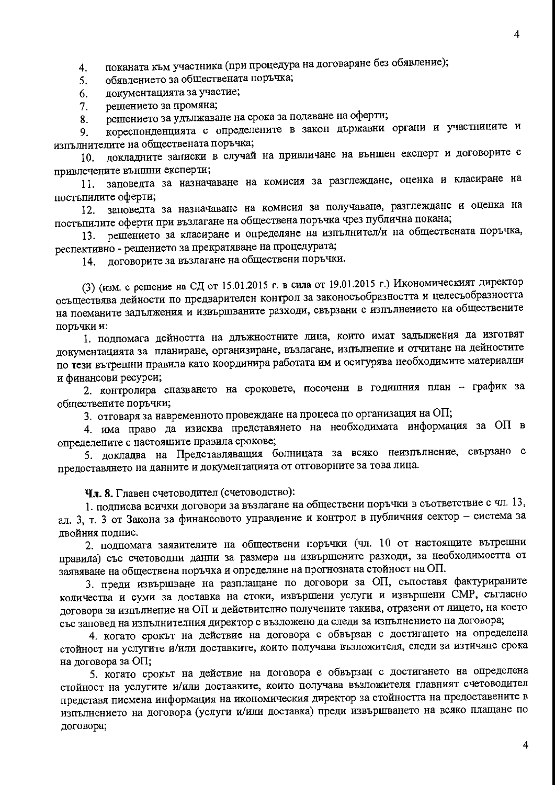поканата към участника (при процедура на договаряне без обявление);  $4.$ 

обявлението за обществената поръчка; 5.

документацията за участие; 6.

решението за промяна;  $7.$ 

решението за удължаване на срока за подаване на оферти; 8.

кореспонденцията с определените в закон държавни органи и участниците и 9. изпълнителите на обществената поръчка;

докладните записки в случай на привличане на външен експерт и договорите с  $10.$ привлечените външни експерти;

заповедта за назначаване на комисия за разглеждане, оценка и класиране на 11. постъпилите оферти;

заповедта за назначаване на комисия за получаване, разглеждане и оценка на  $12.$ постыпилите оферти при възлагане на обществена поръчка чрез публична покана;

решението за класиране и определяне на изпълнител/и на обществената поръчка, 13. респективно - решението за прекратяване на процедурата;

договорите за възлагане на обществени поръчки. 14.

(3) (изм. с решение на СД от 15.01.2015 г. в сила от 19.01.2015 г.) Икономическият директор осъществява дейности по предварителен контрол за законосъобразността и целесъобразността на поеманите задължения и извършваните разходи, свързани с изпълнението на обществените поръчки и:

1. подпомага дейността на длъжностните лица, които имат задължения да изготвят документацията за планиране, организиране, възлагане, изпълнение и отчитане на дейностите по тези вътрешни правила като координира работата им и осигурява необходимите материални и финансови ресурси;

2. контролира спазването на сроковете, посочени в годишния план - график за обществените поръчки;

3. отговаря за навременното провеждане на процеса по организация на ОП;

4. има право да изисква представянето на необходимата информация за ОП в определените с настоящите правила срокове;

5. докладва на Представляващия болницата за всяко неизпълнение, свързано с предоставянето на данните и документацията от отговорните за това лица.

Чл. 8. Главен счетоводител (счетоводство):

1. подписва всички договори за възлагане на обществени поръчки в съответствие с чл. 13, ал. 3, т. 3 от Закона за финансовото управление и контрол в публичния сектор - система за лвойния подпис.

2. подпомага заявителите на обществени поръчки (чл. 10 от настоящите вътрешни правила) със счетоводни данни за размера на извършените разходи, за необходимостта от заявяване на обществена поръчка и определяне на прогнозната стойност на ОП.

3. преди извършване на разплащане по договори за ОП, съпоставя фактурираните количества и суми за доставка на стоки, извършени услуги и извършени СМР, съгласно договора за изпълнение на ОП и действително получените такива, отразени от лицето, на което със заповед на изпълнителния директор е възложено да следи за изпълнението на договора;

4. когато срокът на действие на договора е обвързан с достигането на определена стойност на услугите и/или доставките, които получава възложителя, следи за изтичане срока на договора за ОП;

5. когато срокът на действие на договора е обвързан с достигането на определена стойност на услугите и/или доставките, които получава възложителя главният счетоводител представя писмена информация на икономическия директор за стойността на предоставените в изпълнението на договора (услуги и/или доставка) преди извършването на всяко плащане по договора;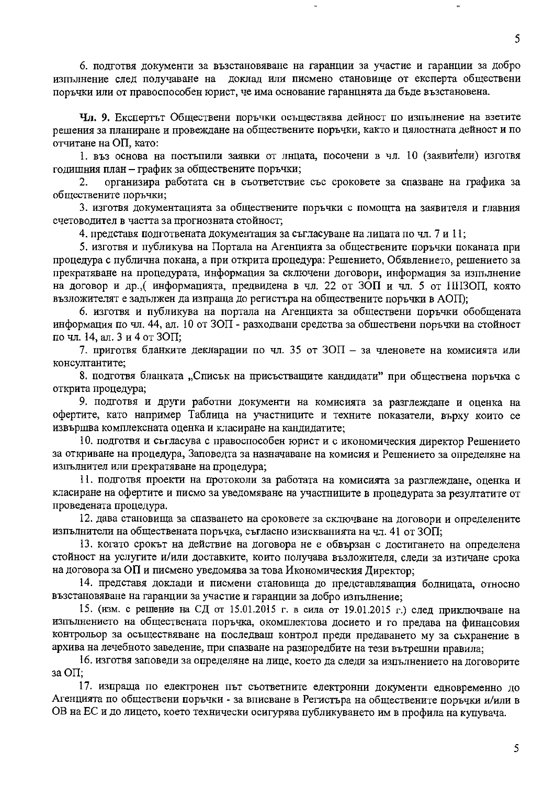6. подготвя документи за възстановяване на гаранции за участие и гаранции за добро изпълнение след получаване на доклад или писмено становище от експерта обществени поръчки или от правоспособен юрист, че има основание гаранцията да бъде възстановена.

Чл. 9. Експертът Обществени поръчки осъществява дейност по изпълнение на взетите решения за планиране и провеждане на обществените поръчки, както и цялостната дейност и по отчитане на ОП, като:

1. въз основа на постъпили заявки от лнцата, посочени в чл. 10 (заявители) изготвя годишния план - график за обществените поръчки;

организира работата сн в съответствие със сроковете за спазване на графика за 2. обществените поръчки;

3. изготвя документацията за обществените поръчки с помощта на заявителя и главния счетоводител в частта за прогнозната стойност;

4. представя подготвената документация за съгласуване на лицата по чл. 7 и 11;

5. изготвя и публикува на Портала на Агенцията за обществените поръчки поканата при процедура с публична покана, а при открита процедура: Решението, Обявлението, решението за прекратяване на процедурата, информация за сключени договори, информация за изпълнение на договор и др., (информацията, предвидена в чл. 22 от ЗОП и чл. 5 от ННЗОП, която възложителят е задължен да изпраща до регистъра на обществените поръчки в АОП);

6. изготвя и публикува на портала на Агенцията за обществени поръчки обобщената информация по чл. 44, ал. 10 от ЗОП - разходвани средства за обшествени поръчки на стойност почл. 14, ал. 3 и 4 от ЗОП;

7. приготвя бланките декларации по чл. 35 от  $30\Pi$  – за членовете на комисията или консултантите:

8. подготвя бланката "Списък на присъстващите кандидати" при обществена поръчка с открита процедура;

9. подготвя и други работни документи на комисията за разглеждане и оценка на офертите, като например Таблица на участниците и техните показатели, върху които се извършва комплексната оценка и класиране на кандидатите;

10. подготвя и съгласува с правоспособен юрист и с икономическия директор Решението за откриване на процедура, Заповедта за назначаване на комисия и Решението за определяне на изпълнител или прекратяване на процедура;

11. подготвя проекти на протоколи за работата на комисията за разглеждане, оценка и класиране на офертите и писмо за уведомяване на участниците в процедурата за резултатите от проведената процедура.

12. дава становища за спазването на сроковете за сключване на договори и определените изпълнители на обществената поръчка, съгласно изискванията на чл. 41 от ЗОП;

13. когато срокът на действие на договора не е обвързан с достигането на определена стойност на услугите и/или доставките, които получава възложителя, следи за изтичане срока на договора за ОП и писмено уведомява за това Икономическия Директор;

14. представя доклади и писмени становища до представляващия болницата, относно възстановяване на гаранции за участие и гаранции за добро изпълнение:

15. (изм. с решение на СД от 15.01.2015 г. в сила от 19.01.2015 г.) след приключване на изпълнението на обществената поръчка, окомплектова досието и го предава на финансовия контрольор за осъществяване на последваш контрол преди предаването му за съхранение в архива на лечебното заведение, при спазване на разпоредбите на тези вътрешни правила:

16. изготвя заповеди за определяне на лице, което да следи за изпълнението на договорите за ОП:

17. изпраща по електронен път съответните електронни документи едновременно до Агенцията по обществени поръчки - за вписване в Регистъра на обществените поръчки и/или в ОВ на ЕС и до лицето, което технически осигурява публикуването им в профила на купувача.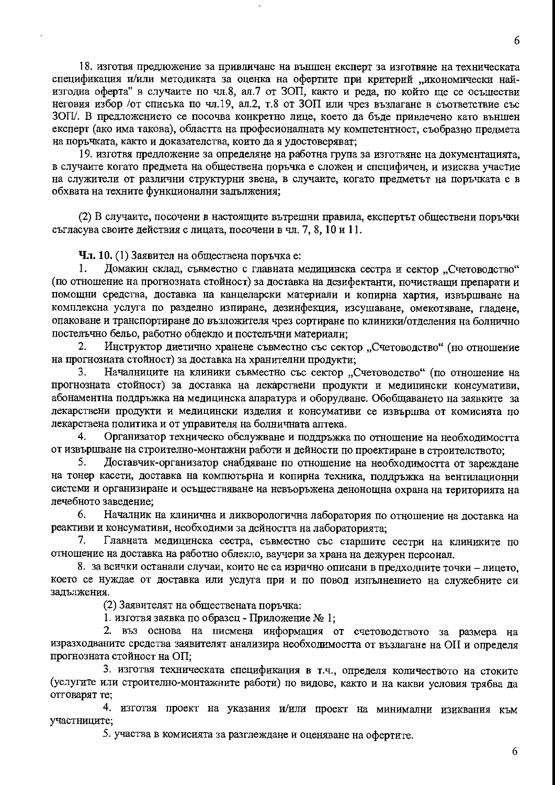6

18. изготвя предложение за привличане на външен експерт за изготвяне на техническата спецификация и/или методиката за оценка на офертите при критерий "икономически найизгодна оферта" в случаите по чл.8, ал.7 от ЗОП, както и реда, по който ще се осъществи неговия избор /от списька по чл.19, ал.2, т.8 от ЗОП или чрез възлагане в съответствие със ЗОП/. В предложението се посочва конкретно лице, което да бъде привлечено като външен експерт (ако има такова), областта на професионалната му компетентност, съобразно предмета на поръчката, както и доказателства, които да я удостоверяват;

19. изготвя предложение за определяне на работна група за изготвяне на документацията, в случаите когато предмета на обществена поръчка е сложен и специфичен, и изисква участие на служители от различни структурни звена, в случаите, когато предметът на поръчката е в обхвата на техните функционални задължения;

(2) В случаите, посочени в настоящите вътрешни правила, експертът обществени поръчки съгласува своите действия с лицата, посочени в чл. 7, 8, 10 и 11.

Чл. 10. (1) Заявител на обществена поръчка е:

Домакин склад, съвместно с главната медицинска сестра и сектор "Счетоводство"  $1.$ (по отношение на прогнозната стойност) за доставка на дезифектанти, почистващи препарати и помощни средства, доставка на канцеларски материали и копирна хартия, извършване на комплексна услуга по разделно изпиране, дезинфекция, изсушаване, омекотяване, гладене, опаковане и транспортиране до възложителя чрез сортиране по клиники/отделения на болнично постельчно бельо, работно облекло и постельчни материали;

Инструктор диетично хранене съвместно със сектор "Счетоводство" (по отношение 2. на прогнозната стойност) за доставка на хранителни продукти;

Началниците на клиники съвместно със сектор "Счетоводство" (по отношение на  $3.$ прогнозната стойност) за доставка на лекарствени продукти и медицински консумативи, абонаментна поддръжка на медицинска апаратура и оборудване. Обобщаването на заявките за лекарствени продукти и медицински изделия и консумативи се извършва от комисията по лекарствена политика и от управителя на болничната аптека.

Организатор техническо обслужване и поддръжка по отношение на необходимостта  $4.$ от извършване на строително-монтажни работи и дейности по проектиране в строителството;

5. Доставчик-организатор снабдяване по отношение на необходимостта от зареждане на тонер касети, доставка на компютърна и копирна техника, поддръжка на вентилационни системи и организиране и осъществяване на невъоръжена денонощна охрана на територията на лечебното заведение;

6. Началник на клинична и ликворологична лаборатория по отношение на доставка на реактиви и консумативи, необходими за дейността на лабораторията;

7. Главната медицинска сестра, съвместно със старшите сестри на клиниките по отношение на доставка на работно облекло, ваучери за храна на дежурен персонал.

8. за всички останали случаи, които не са изрично описани в предходните точки - лицето, което се нуждае от доставка или услуга при и по повод изпълнението на служебните си задължения.

(2) Заявителят на обществената поръчка:

1. изготвя заявка по образец - Приложение № 1;

2. въз основа на писмена информация от счетоводството за размера на изразходваните средства заявителят анализира необходимостта от възлагане на ОII и определя прогнозната стойност на ОП:

3. изготвя техническата спецификация в т.ч., определя количеството на стоките (услугите или строително-монтажните работи) по видове, както и на какви условия трябва да отговарят те;

4. изготвя проект на указания и/или проект на минимални изиквания към участниците;

5. участва в комисията за разглеждане и оценяване на офертите.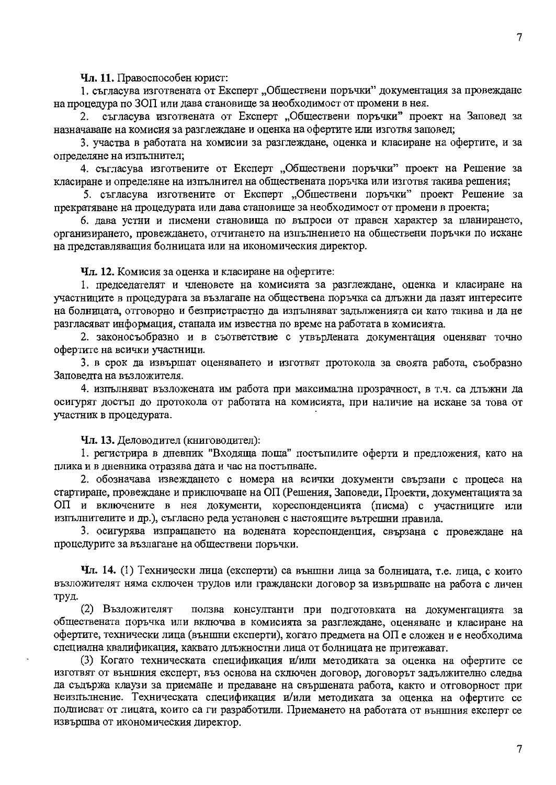Чл. 11. Правоспособен юрист:

1. съгласува изготвената от Експерт "Обществени поръчки" документация за провеждане на процедура по ЗОП или дава становище за необходимост от промени в нея.

2. съгласува изготвената от Експерт "Обществени поръчки" проект на Заповед за назначаване на комисия за разглеждане и оценка на офертите или изготвя заповед;

3. участва в работата на комисии за разглеждане, оценка и класиране на офертите, и за определяне на изпълнител;

4. съгласува изготвените от Експерт "Обществени поръчки" проект на Решение за класиране и определяне на изпълнител на обществената поръчка или изготвя такива решения;

5. съгласува изготвените от Експерт "Обществени поръчки" проект Решение за прекратяване на процедурата или дава становище за необходимост от промени в проекта;

6. дава устни и писмени становища по въпроси от правен характер за планирането, организирането, провеждането, отчитането на изпълнението на обществени поръчки по искане на представляващия болницата или на икономическия директор.

Чл. 12. Комисия за оценка и класиране на офертите:

1. председателят и членовете на комисията за разглеждане, оценка и класиране на участниците в процедурата за възлагане на обществена поръчка са длъжни да пазят интересите на болницата, отговорно и безпристрастно да изпълняват задълженията си като такива и да не разгласяват информация, станала им известна по време на работата в комисията.

2. законосъобразно и в съответствие с утвърдената документация оценяват точно офертите на всички участници.

3. в срок да извършат оценяването и изготвят протокола за своята работа, съобразно Заповедта на възложителя.

4. изпълняват възложената им работа при максимална прозрачност, в т.ч. са длъжни да осигурят достъп до протокола от работата на комисията, при наличие на искане за това от участник в процедурата.

Чл. 13. Деловодител (книговодител):

1. регистрира в дневник "Входяща поща" постъпилите оферти и предложения, като на плика и в дневника отразява дата и час на постъпване.

2. обозначава извеждането с номера на всички документи свързани с процеса на стартиране, провеждане и приключване на ОП (Решения, Заповеди, Проекти, документацията за ОП и включените в нея документи, кореспонденцията (писма) с участниците или изпълнителите и др.), съгласно реда установен с настоящите вътрешни правила.

3. осигурява изпращането на водената кореспонденция, свързана с провеждане на процедурите за възлагане на обществени поръчки.

Чл. 14. (1) Технически лица (експерти) са външни лица за болницата, т.е. лица, с които възложителят няма сключен трудов или граждански договор за извършване на работа с личен труд.

(2) Възложителят ползва консултанти при подготовката на документацията за обществената поръчка или включва в комисията за разглеждане, оценяване и класиране на офертите, технически лица (външни експерти), когато предмета на ОП е сложен и е необходима специална квалификация, каквато длъжностни лица от болницата не притежават.

(3) Когато техническата спецификация и/или методиката за оценка на офертите се изготвят от външния експерт, въз основа на сключен договор, договорът задължително следва да съдържа клаузи за приемане и предаване на свършената работа, както и отговорност при неизпълнение. Техническата спецификация и/или методиката за оценка на офертите се подписват от лицата, които са ги разработили. Приемането на работата от външния експерт се извършва от икономическия директор.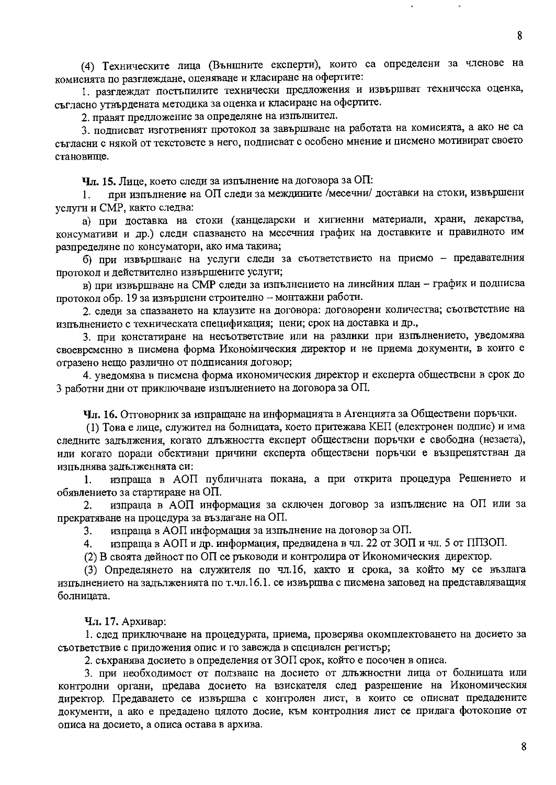(4) Техническите лица (Външните експерти), които са определени за членове на комисията по разглеждане, оценяване и класиране на офертите:

1. разглеждат постыпилите технически предложения и извършват техническа оценка, съгласно утвърдената методика за оценка и класиране на офертите.

2. правят предложение за определяне на изпълнител.

3. подписват изготвеният протокол за завършване на работата на комисията, а ако не са съгласни с някой от текстовете в него, подписват с особено мнение и писмено мотивират своето становище.

Чл. 15. Лице, което следи за изпълнение на договора за ОП:

при изпълнение на ОП следи за междините /месечни/ доставки на стоки, извършени 1. услуги и СМР, както следва:

а) при доставка на стоки (канцеларски и хигиенни материали, храни, лекарства, консумативи и др.) следи спазването на месечния график на доставките и правилното им разпределяне по консуматори, ако има такива;

б) при извършване на услуги следи за съответствието на приемо - предавателния протокол и действително извършените услуги;

в) при извършване на СМР следи за изпълнението на линейния план - график и подписва протокол обр. 19 за извършени строително - монтажни работи.

2. следи за спазването на клаузите на договора: договорени количества; съответствие на изпълнението с техническата спецификация; цени; срок на доставка и др.,

3. при констатиране на несъответствие или на разлики при изпълнението, уведомява своевременно в писмена форма Икономическия директор и не приема документи, в които е отразено нещо различно от подписания договор;

4. уведомява в писмена форма икономическия директор и експерта обществени в срок до 3 работни дни от приключване изпълнението на договора за ОП.

Чл. 16. Отговорник за изпращане на информацията в Агенцията за Обществени поръчки.

(1) Това е лице, служител на болницата, което притежава КЕП (електронен подпис) и има следните задължения, когато длъжността експерт обществени поръчки е свободна (незаета), или когато поради обективни причини експерта обществени поръчки е възпрепятстван да изпълнява задълженнята си:

изпраща в АОП публичната покана, а при открита процедура Решението и 1. обявлението за стартиране на ОП.

изпраща в АОП информация за сключен договор за изпълнение на ОП или за  $2.$ прекратяване на процедура за възлагане на ОП.

изпраща в АОП информация за изпълнение на договор за ОП. 3.

изпраща в АОП и др. информация, предвидена в чл. 22 от ЗОП и чл. 5 от ППЗОП. 4.

(2) В своята дейност по ОП се ръководи и контролира от Икономическия директор.

(3) Определянето на служителя по чл.16, както и срока, за който му се възлага изпълнението на задълженията по т.чл.16.1. се извършва с писмена заповед на представляващия болницата.

Чл. 17. Архивар:

1. след приключване на процедурата, приема, проверява окомплектоването на досието за съответствие с приложения опис и го завежда в специален регистър;

2. съхранява досието в определения от ЗОП срок, който е посочен в описа.

3. при необходимост от ползване на досието от длъжностни лица от болницата или контролни органи, предава досието на взискателя след разрешение на Икономическия директор. Предаването се извършва с контролен лист, в които се описват предадените документи, а ако е предадено цялото досие, към контролния лист се прилага фотокопие от описа на досието, а описа остава в архива.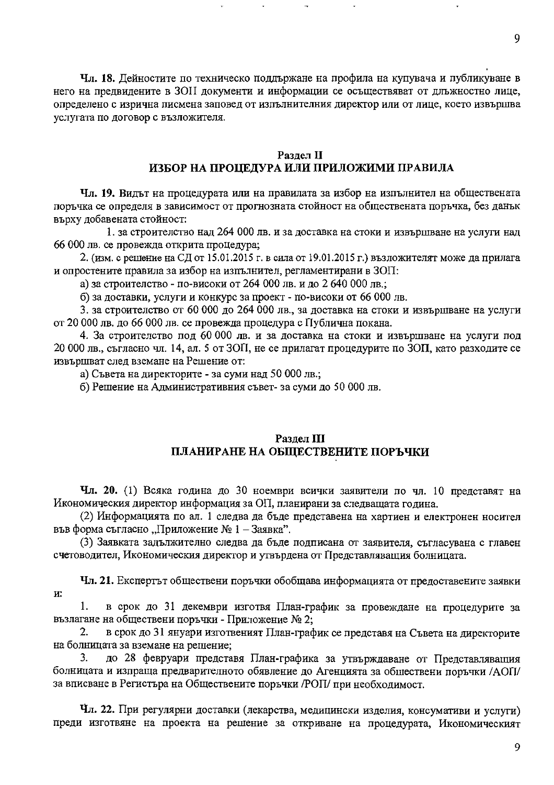Чл. 18. Дейностите по техническо поддържане на профила на купувача и публикуване в него на предвидените в ЗОП документи и информации се осъществяват от длъжностно лице, определено с изрична писмена заповед от изпълнителния директор или от лице, което извършва услугата по договор с възложителя.

#### Раздел II ИЗБОР НА ПРОЦЕДУРА ИЛИ ПРИЛОЖИМИ ПРАВИЛА

Чл. 19. Видът на процедурата или на правилата за избор на изпълнител на обществената поръчка се определя в зависимост от прогнозната стойност на обществената поръчка, без данък върху добавената стойност:

1. за строителство над 264 000 лв. и за доставка на стоки и извършване на услуги над 66 000 лв. се провежда открита процедура;

2. (изм. с решение на СД от 15.01.2015 г. в сила от 19.01.2015 г.) възложителят може да прилага и опростените правила за избор на изпълнител, регламентирани в ЗОП:

а) за строителство - по-високи от 264 000 лв. и до 2 640 000 лв.;

б) за доставки, услуги и конкурс за проект - по-високи от 66 000 лв.

3. за строителство от 60 000 до 264 000 лв., за доставка на стоки и извършване на услуги от 20 000 лв. до 66 000 лв. се провежда процедура с Публична покана.

4. За строителство под 60 000 лв. и за доставка на стоки и извършване на услуги под 20 000 лв., съгласно чл. 14, ал. 5 от ЗОП, не се прилагат процедурите по ЗОП, като разходите се извършват след вземане на Решение от:

а) Съвета на директорите - за суми над 50 000 лв.;

б) Решение на Административния съвет-за суми до 50 000 лв.

#### Раздел III ПЛАНИРАНЕ НА ОБЩЕСТВЕНИТЕ ПОРЪЧКИ

Чл. 20. (1) Всяка година до 30 ноември всички заявители по чл. 10 представят на Икономическия директор информация за ОП, планирани за следващата година.

(2) Информацията по ал. 1 следва да бъде представена на хартиен и електронен носител във форма съгласно "Приложение № 1 – Заявка".

(3) Заявката задължително следва да бъде подписана от заявителя, съгласувана с главен счетоводител, Икономическия директор и утвърдена от Представляващия болницата.

Чл. 21. Експертът обществени поръчки обобщава информацията от предоставените заявки И.

1. в срок до 31 декември изготвя План-график за провеждане на процедурите за възлагане на обществени поръчки - Приложение № 2;

в срок до 31 януари изготвеният План-график се представя на Съвета на директорите  $2.$ на болницата за вземане на решение;

до 28 февруари представя План-графика за утвърждаване от Представляващия 3. болницата и изпраща предварителното обявление до Агенцията за обшествени поръчки /АОП/ за вписване в Регистъра на Обществените поръчки /РОП/ при необходимост.

Чл. 22. При регулярни доставки (лекарства, медицински изделия, консумативи и услуги) преди изготвяне на проекта на решение за откриване на процедурата, Икономическият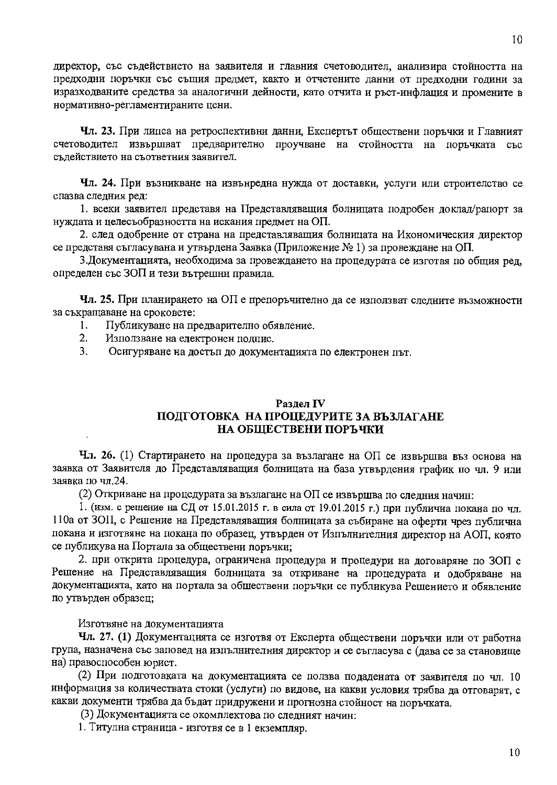директор, със съдействието на заявителя и главния счетоводител, анализира стойността на предходни поръчки със същия предмет, както и отчетените данни от предходни години за изразходваните средства за аналогични дейности, като отчита и ръст-инфлация и промените в нормативно-регламентираните цени.

Чл. 23. При липса на ретроспективни данни, Експертът обществени поръчки и Главният счетоводител извършват предварително проучване на стойността на поръчката със съдействието на съответния заявител.

Чл. 24. При възникване на извънредна нужда от доставки, услуги или строителство се спазва следния ред:

1. всеки заявител представя на Представляващия болницата подробен доклад/рапорт за нуждата и целесъобразността на искания предмет на ОП.

2. след одобрение от страна на представляващия болницата на Икономическия директор се представя съгласувана и утвърдена Заявка (Приложение №1) за провеждане на ОП.

3. Документацията, необходима за провеждането на процедурата се изготвя по общия ред, определен със ЗОП и тези вътрешни правила.

Чл. 25. При планирането на ОП е препоръчително да се използват следните възможности за съкращаване на сроковете:

- $1<sub>1</sub>$ Публикуване на предварително обявление.
- $2.$ Използване на електронен подпис.
- $3<sub>1</sub>$ Осигуряване на достъп до документацията по електронен път.

#### Разлел IV ПОДГОТОВКА НА ПРОЦЕДУРИТЕ ЗА ВЪЗЛАГАНЕ НА ОБЩЕСТВЕНИ ПОРЪЧКИ

Чл. 26. (1) Стартирането на процедура за възлагане на ОП се извършва въз основа на заявка от Заявителя до Представляващия болницата на база утвърдения график по чл. 9 или заявка по чл.24.

(2) Откриване на процедурата за възлагане на ОП се извършва по следния начин:

1. (изм. с решение на СД от 15.01.2015 г. в сила от 19.01.2015 г.) при публична покана по чл. 110а от ЗОП, с Решение на Представляващия болницата за събиране на оферти чрез публична покана и изготвяне на покана по образец, утвърден от Изпълнителния директор на АОП, която се публикува на Портала за обществени поръчки;

2. при открита процедура, ограничена процедура и процедури на договаряне по ЗОП с Решение на Представляващия болницата за откриване на процедурата и одобряване на документацията, като на портала за обществени поръчки се публикува Решението и обявление по утвърден образец;

Изготвяне на документацията

Чл. 27. (1) Документацията се изготвя от Експерта обществени поръчки или от работна група, назначена със заповед на изпълнителния директор и се съгласува с (дава се за становище на) правоспособен юрист.

(2) При подготовката на документацията се ползва подадената от заявителя по чл. 10 информация за количествата стоки (услуги) по видове, на какви условия трябва да отговарят, с какви документи трябва да бъдат придружени и прогнозна стойност на поръчката.

(3) Документацията се окомплектова по следният начин:

1. Титулна страница - изготвя се в 1 екземпляр.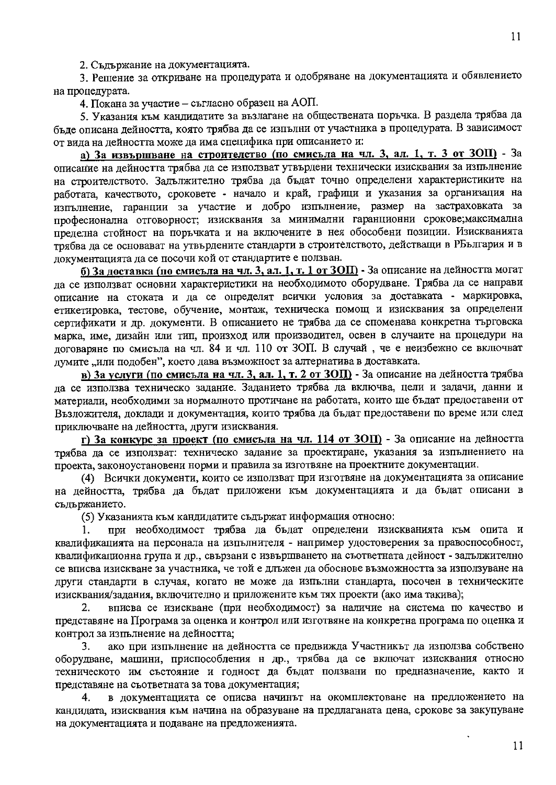2. Съдържание на документацията.

3. Решение за откриване на процедурата и одобряване на документацията и обявлението на процедурата.

4. Покана за участие - съгласно образец на АОП.

5. Указания към кандидатите за възлагане на обществената поръчка. В раздела трябва да бъде описана дейността, която трябва да се изпълни от участника в процедурата. В зависимост от вида на дейността може да има специфика при описанието и:

а) За извършване на строителство (по смисъла на чл. 3, ал. 1, т. 3 от ЗОП) - За описание на дейността трябва да се използват утвърдени технически изисквания за изпълнение на строителството. Задължително трябва да бъдат точно определени характеристиките на работата, качеството, сроковете - начало и край, графици и указания за организация на напълнение, гаранции за участие и добро изпълнение, размер на застраховката за професионална отговорност; изисквания за минимални гаранционни срокове;максимална прелелна стойност на поръчката и на включените в нея обособени позиции. Изискванията трябва да се основават на утвърдените стандарти в строителството, действащи в РБългария и в документацията да се посочи кой от стандартите е ползван.

б) За доставка (по смисъла на чл. 3, ал. 1, т. 1 от ЗОП) - За описание на дейността могат ла се използват основни характеристики на необходимото оборудване. Трябва да се направи описание на стоката и да се определят всички условия за доставката - маркировка, етикетировка, тестове, обучение, монтаж, техническа помощ и изисквания за определени сертификати и др. документи. В описанието не трябва да се споменава конкретна търговска марка, име, дизайн или тип, произход или производител, освен в случаите на процедури на договаряне по смисъла на чл. 84 и чл. 110 от ЗОП. В случай, че е неизбежно се включват думите "или подобен", което дава възможност за алтернатива в доставката.

в) За услуги (по смисъла на чл. 3, ал. 1, т. 2 от ЗОП) - За описание на дейността трябва да се използва техническо задание. Заданието трябва да включва, цели и задачи, данни и материали, необходими за нормалното протичане на работата, които ще бъдат предоставени от Възложителя, доклади и документация, които трябва да бъдат предоставени по време или след приключване на дейността, други изисквания.

г) За конкурс за проект (по смисьла на чл. 114 от ЗОП) - За описание на дейността трябва да се използват: техническо задание за проектиране, указания за изпълнението на проекта, законоустановени норми и правила за изготвяне на проектните документации.

(4) Всички документи, които се използват при изготвяне на документацията за описание на дейността, трябва да бъдат приложени към документацията и да бъдат описани в съдържанието.

(5) Указанията към кандидатите съдържат информация относно:

при необходимост трябва да бъдат определени изискванията към опита и 1. квалификацията на персонала на изпълнителя - например удостоверения за правоспособност, квалификационна група и др., свързани с извършването на съответната дейност - задължително се вписва изискване за участника, че той е длъжен да обоснове възможността за използуване на други стандарти в случая, когато не може да изпълни стандарта, посочен в техническите изисквания/задания, включително и приложените към тях проекти (ако има такива);

вписва се изискване (при необходимост) за наличие на система по качество и 2. представяне на Програма за оценка и контрол или изготвяне на конкретна програма по оценка и контрол за изпълнение на дейността;

ако при изпълнение на дейността се предвижда Участникът да използва собствено 3. оборудване, машини, приспособления н др., трябва да се включат изисквания относно техническото им състояние и годност да бъдат ползвани по предназначение, както и представяне на съответната за това документация;

в документацията се описва начинът на окомплектоване на предложението на 4. кандидата, изисквания към начина на образуване на предлаганата цена, срокове за закупуване на документацията и подаване на предложенията.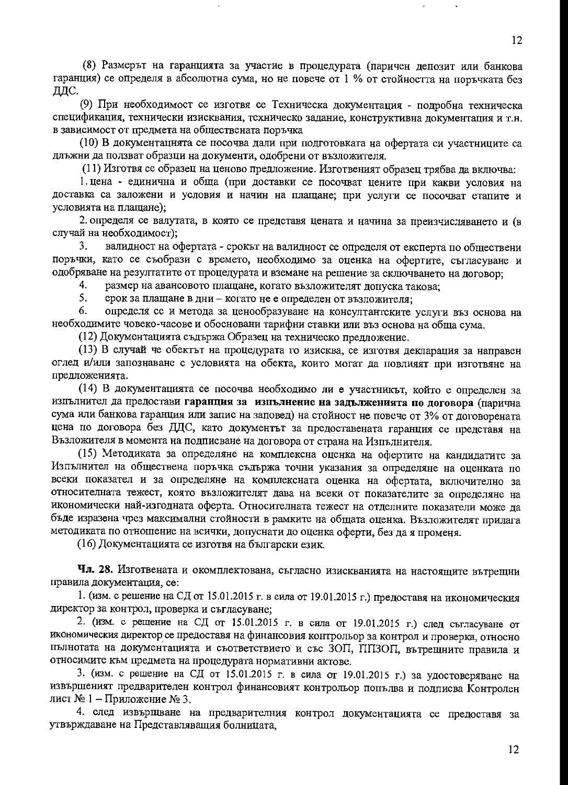(8) Размерът на гаранцията за участие в процедурата (паричен депозит или банкова гаранция) се определя в абсолютна сума, но не повече от 1 % от стойността на поръчката без ДДС.

(9) При необходимост се изготвя се Техническа документация - подробна техническа спецификация, технически изисквания, техническо задание, конструктивна документация и т.н. в зависимост от предмета на обществената поръчка

(10) В документацнята се посочва дали при подготовката на офертата си участниците са длъжни да ползват образци на документи, одобрени от възложителя.

(11) Изготвя се образец на ценово предложение. Изготвеният образец трябва да включва:

1. цена - единична и обща (при доставки се посочват цените при какви условия на доставка са заложени и условия и начин на плащане; при услуги се посочват етапите и условията на плащане);

2. определя се валутата, в която се представя цената и начина за преизчисляването и (в случай на необходимост);

валидност на офертата - срокът на валидност се определя от експерта по обществени 3. поръчки, като се съобрази с времето, необходимо за оценка на офертите, съгласуване и одобряване на резултатите от процедурата и вземане на решение за сключването на договор;

 $4.$ размер на авансовото плащане, когато възложителят допуска такова;

5. срок за плащане в дни - когато не е определен от възложителя:

6. определя се и метода за ценообразуване на консултантските услуги въз основа на необходимите човеко-часове и обосновани тарифни ставки или въз основа на обща сума.

(12) Документацията съдържа Образец на техническо предложение.

(13) В случай че обектът на процедурата го изисква, се изготвя декларация за направен оглед и/или запознаване с условията на обекта, които могат да повлияят при изготвяне на предложенията.

(14) В документацията се посочва необходимо ли е участникът, който е определен за изпълнител да предостави гаранция за изпълнение на задълженията по договора (парична сума или банкова гаранция или запис на заповед) на стойност не повече от 3% от договорената цена по договора без ДДС, като документът за предоставената гаранция се представя на Възложителя в момента на подписване на договора от страна на Изпълнителя.

(15) Методиката за определяне на комплексна оценка на офертите на кандидатите за Изпълнител на обществена поръчка съдържа точни указания за определяне на оценката по всеки показател и за определяне на комплексната оценка на офертата, включително за относителната тежест, която възложителят дава на всеки от показателите за определяне на икономически най-изгодната оферта. Относителната тежест на отделните показатели може да бъде изразена чрез максимални стойности в рамките на общата оценка. Възложителят прилага методиката по отношение на всички, допуснати до оценка оферти, без да я променя.

(16) Документацията се изготвя на български език.

Чл. 28. Изготвената и окомплектована, съгласно изискванията на настоящите вътрещни правила документация, се:

1. (изм. с решение на СД от 15.01.2015 г. в сила от 19.01.2015 г.) предоставя на икономическия директор за контрол, проверка и съгласуване;

2. (изм. с решение на СД от 15.01.2015 г. в сила от 19.01.2015 г.) след съгласуване от икономическия директор се предоставя на финансовия контрольор за контрол и проверка, относно пълнотата на документацията и съответствието и със ЗОП, ППЗОП, вътрещните правила и относимите към предмета на процедурата нормативни актове.

3. (изм. с решение на СД от 15.01.2015 г. в сила от 19.01.2015 г.) за удостоверяване на извършеният предварителен контрол финансовият контрольор попълва и подписва Контролен лист № 1 – Приложение № 3.

4. след извършване на предварителния контрол документацията се предоставя за утвърждаване на Представляващия болницата,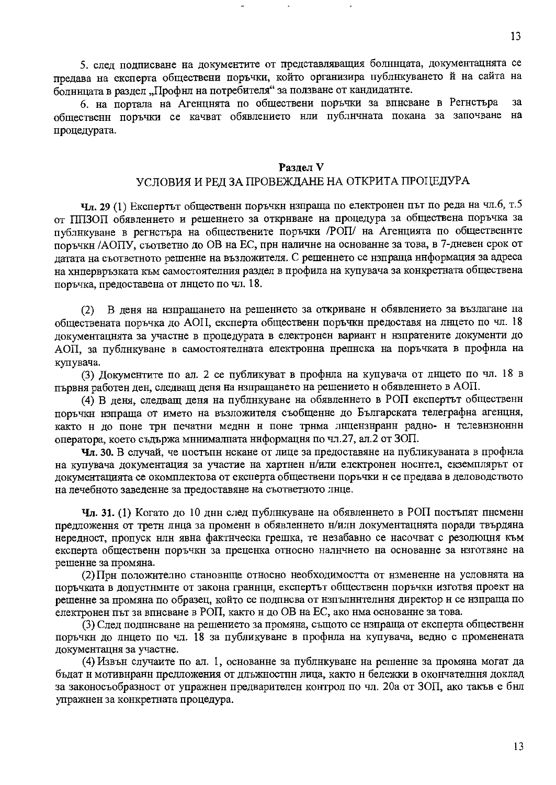5. след подписване на документите от представляващия болннцата, документацнята се предава на експерта обществени поръчки, който организира публнкуването й на сайта на болннцата в раздел "Профнл на потребителя" за ползване от кандидатнте.

6. на портала на Агенцнята по обществени поръчки за вписване в Регистъра  $3a$ общественн поръчки се качват обявлението нли публнчната покана за започване на процедурата.

#### Разлел V

## УСЛОВИЯ И РЕД ЗА ПРОВЕЖДАНЕ НА ОТКРИТА ПРОЦЕДУРА

**Чл. 29** (1) Експертът общественн поръчкн нзпраща по електронен път по реда на чл.6, т.5 от ППЗОП обявленнето и решеннето за открнване на процедура за обществена поръчка за публикуване в регистъра на обществените поръчки /РОП/ на Агенцията по общественнте поръчкн /АОПУ, съответно до ОВ на ЕС, прн наличне на основанне за това, в 7-дневен срок от датата на съответното решенне на възложителя. С решеннето се нзпраща ннформация за адреса на хнпервръзката към самостоятелния раздел в профила на купувача за конкретната обществена поръчка, предоставена от лицето по чл. 18.

В деня на нзпращането на решеннето за откриване н обявлението за възлагане на  $(2)$ обществената поръчка до АОП, експерта общественн поръчкн предоставя на лнцето по чл. 18 документацнята за участне в процедурата в електронен вариант н нзпратените документи до АОП, за публикуване в самостоятелната електронна препнска на поръчката в профнла на купувача.

(3) Документите по ал. 2 се публикуват в профнла на купувача от лнцето по чл. 18 в първня работен ден, следващ деня на нзпращането на решението н обявленнето в АОП.

(4) В деня, следващ деня на публикуване на обявленнето в РОП експертът общественн поръчки изпраща от името на възложителя съобщение до Българската телеграфна агенция, както н до поне трн печатни медни н поне трнма лнцензиранн радно- н телевизнонни оператора, което съдържа мннималната ннформация по чл.27, ал.2 от ЗОП.

Чл. 30. В случай, че постъпн нскане от лице за предоставяне на публикуваната в профнла на купувача документация за участие на хартнен н/или електронен носнтел, екземплярът от документацията се окомплектова от експерта обществени поръчки н се предава в деловодството на лечебното заведенне за предоставяне на съответното лнце.

Чл. 31. (1) Когато до 10 днн след публикуване на обявлението в РОП постъпят писменн предложення от третн лица за промени в обявлението н/или документацията поради твърдяна нередност, пропуск нлн явна фактическа грешка, те незабавно се насочват с резолюция към експерта общественн поръчки за преценка относно наличнето на основанне за изготвяне на решенне за промяна.

(2) Прн положнтелно становнще относно необходимостта от нзмененне на условнята на поръчката в допустнмите от закона граннци, експертът общественн поръчки изготвя проект на решенне за промяна по образец, който се подписва от изпълнителння директор н се нзпраща по електронен път за вписване в РОП, както и до ОВ на ЕС, ако има основанне за това.

(3) След подписване на решението за промяна, същото се нзпраща от експерта общественн поръчки до лнцето по чл. 18 за публикуване в профнла на купувача, ведно с променената документацня за участне.

(4) Извън случаите по ал. 1, основанне за публикуване на решенне за промяна могат да бъдат н мотивнранн предложения от длъжностнн лица, както н бележки в окончателння доклад за законосъобразност от упражнен предварителен контрол по чл. 20а от ЗОП, ако такъв е бнл упражнен за конкретната процедура.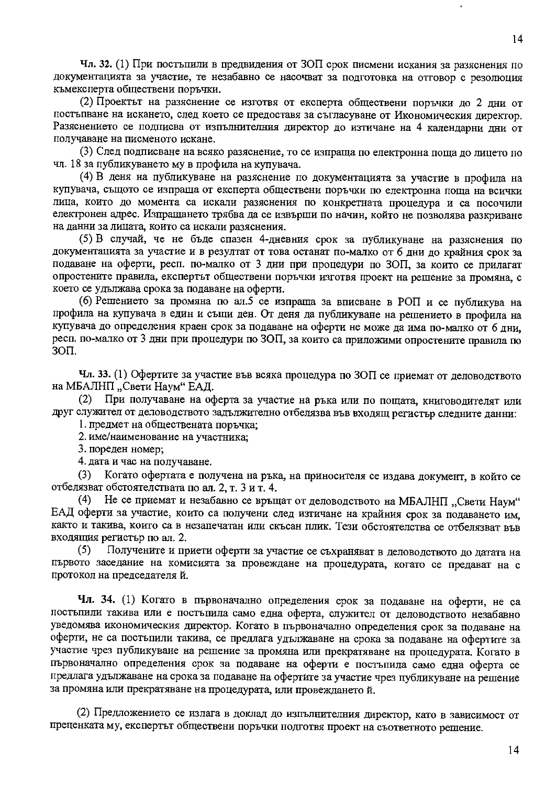Чл. 32. (1) При постъпили в предвидения от ЗОП срок писмени искания за разяснения по документацията за участие, те незабавно се насочват за подготовка на отговор с резолюция къмексперта обществени поръчки.

(2) Проектът на разяснение се изготвя от експерта обществени поръчки до 2 лни от постыпване на искането, след което се предоставя за съгласуване от Икономическия директор. Разяснението се подписва от изпълнителния директор до изтичане на 4 календарни дни от получаване на писменото искане.

(3) След подписване на всяко разяснение, то се изпраща по електронна поща до лицето по чл. 18 за публикуването му в профила на купувача.

(4) В деня на публикуване на разяснение по документацията за участие в профила на купувача, същото се изпраща от експерта обществени поръчки по електронна поща на всички лица, които до момента са искали разяснения по конкретната процедура и са посочили електронен адрес. Изпращането трябва да се извърши по начин, който не позволява разкриване на данни за лицата, които са искали разяснения.

(5) В случай, че не бъде спазен 4-дневния срок за публикуване на разяснения по документацията за участие и в резултат от това останат по-малко от 6 дни до крайния срок за подаване на оферти, респ. по-малко от 3 дни при процедури по ЗОП, за които се прилагат опростените правила, експертът обществени поръчки изготвя проект на решение за промяна, с което се удължава срока за подаване на оферти.

(6) Решението за промяна по ал.5 се изпраща за вписване в РОП и се публикува на профила на купувача в един и същи ден. От деня да публикуване на решението в профила на купувача до определения краен срок за подаване на оферти не може да има по-малко от 6 дни, респ. по-малко от 3 дни при процедури по ЗОП, за които са приложими опростените правила по  $3<sub>OT</sub>$ .

Чл. 33. (1) Офертите за участие във всяка процедура по ЗОП се приемат от деловодството на МБАЛНП "Свети Наум" ЕАД.

При получаване на оферта за участие на ръка или по пощата, книговодителят или  $(2)$ друг служител от деловодството задължително отбелязва във входящ регистьр следните данни:

1. предмет на обществената поръчка;

2. име/наименование на участника;

3. пореден номер;

4. дата и час на получаване.

 $(3)$ Когато офертата е получена на ръка, на приносителя се издава документ, в който се отбелязват обстоятелствата по ал. 2, т. 3 и т. 4.

Не се приемат и незабавно се връщат от деловодството на МБАЛНП "Свети Наум"  $(4)$ ЕАД оферти за участие, които са получени след изтичане на крайния срок за подаването им, както и такива, които са в незапечатан или скъсан плик. Тези обстоятелства се отбелязват във входящия регистър по ал. 2.

Получените и приети оферти за участие се съхраняват в деловодството до датата на  $(5)$ първото заседание на комисията за провеждане на процедурата, когато се предават на с протокол на председателя й.

Чл. 34. (1) Когато в първоначално определения срок за подаване на оферти, не са постыпили такива или е постыпила само една оферта, служител от деловодството незабавно уведомява икономическия директор. Когато в първоначално определения срок за подаване на оферти, не са постъпили такива, се предлага удължаване на срока за подаване на офертите за участие чрез публикуване на решение за промяна или прекратяване на процедурата. Когато в първоначално определения срок за подаване на оферти е постъпила само една оферта се предлага удължаване на срока за подаване на офертите за участие чрез публикуване на решение за промяна или прекратяване на процедурата, или провеждането й.

(2) Предложението се излага в доклад до изпълнителния директор, като в зависимост от преценката му, експертът обществени поръчки подготвя проект на съответното решение.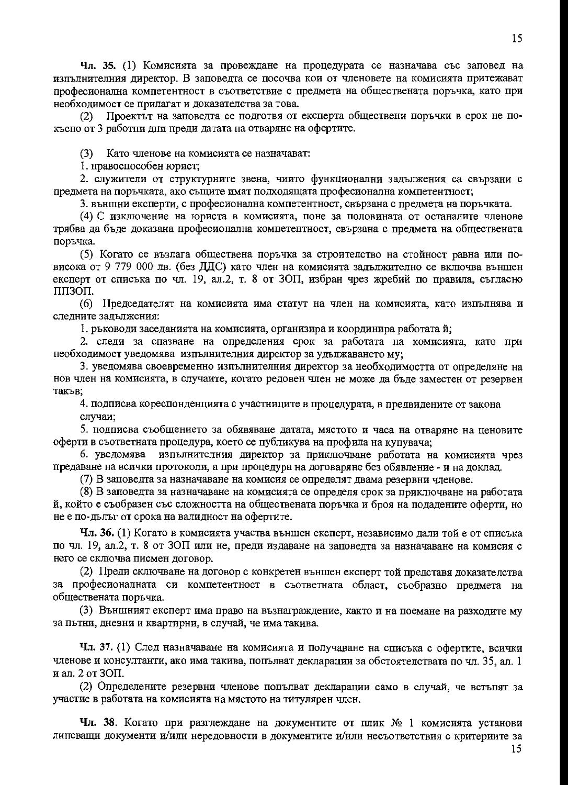Чл. 35. (1) Комисията за провеждане на процедурата се назначава със заповед на изпълнителния директор. В заповедта се посочва кои от членовете на комисията притежават професионална компетентност в съответствие с предмета на обществената поръчка, като при необходимост се прилагат и доказателства за това.

Проектът на заповедта се подготвя от експерта обществени поръчки в срок не по- $(2)$ късно от 3 работни дни преди датата на отваряне на офертите.

(3) Като членове на комисията се назначават:

1. правоспособен юрист;

2. служители от структурните звена, чиито функционални задължения са свързани с предмета на поръчката, ако същите имат подходящата професионална компетентност;

3. външни експерти, с професионална компетентност, свързана с предмета на поръчката.

(4) С изключение на юриста в комисията, поне за половината от останалите членове трябва да бъде доказана професионална компетентност, свързана с предмета на обществената поръчка.

(5) Когато се възлага обществена поръчка за строителство на стойност равна или повисока от 9 779 000 лв. (без ДДС) като член на комисията задължително се включва външен експерт от списъка по чл. 19, ал.2, т. 8 от ЗОП, избран чрез жребий по правила, съгласно ППЗОП.

(6) Председателят на комисията има статут на член на комисията, като изпълнява и следните задължения:

1. ръководи заседанията на комисията, организира и координира работата й;

2. следи за спазване на определения срок за работата на комисията, като при необходимост уведомява изпълнителния директор за удължаването му;

3. уведомява своевременно изпълнителния директор за необходимостта от определяне на нов член на комисията, в случаите, когато редовен член не може да бъде заместен от резервен такъв:

4. подписва кореспонденцията с участниците в процедурата, в предвидените от закона случаи:

5. подписва съобщението за обявяване датата, мястото и часа на отваряне на ценовите оферти в съответната процедура, което се публикува на профила на купувача;

6. уведомява изпълнителния директор за приключване работата на комисията чрез предаване на всички протоколи, а при процедура на договаряне без обявление - и на доклад.

(7) В заповедта за назначаване на комисия се определят двама резервни членове.

(8) В заповедта за назначаване на комисията се определя срок за приключване на работата й, който е съобразен със сложността на обществената поръчка и броя на подадените оферти, но не е по-дълъг от срока на валидност на офертите.

Чл. 36. (1) Когато в комисията участва външен експерт, независимо дали той е от списъка по чл. 19, ал.2, т. 8 от ЗОП или не, преди издаване на заповедта за назначаване на комисия с него се сключва писмен договор.

(2) Преди сключване на договор с конкретен външен експерт той представя доказателства за професионалната си компетентност в съответната област, съобразно предмета на обществената поръчка.

(3) Външният експерт има право на възнаграждение, както и на поемане на разходите му за пътни, дневни и квартирни, в случай, че има такива.

Чл. 37. (1) След назначаване на комисията и получаване на списъка с офертите, всички членове и консултанти, ако има такива, попълват декларации за обстоятелствата по чл. 35, ал. 1 и ал. 2 от 30П.

(2) Определените резервни членове попълват декларации само в случай, че встъпят за участие в работата на комисията на мястото на титулярен член.

**Чл. 38**. Когато при разглеждане на документите от плик  $N_2$  1 комисията установи липсващи документи и/или нередовности в документите и/или несъответствия с критериите за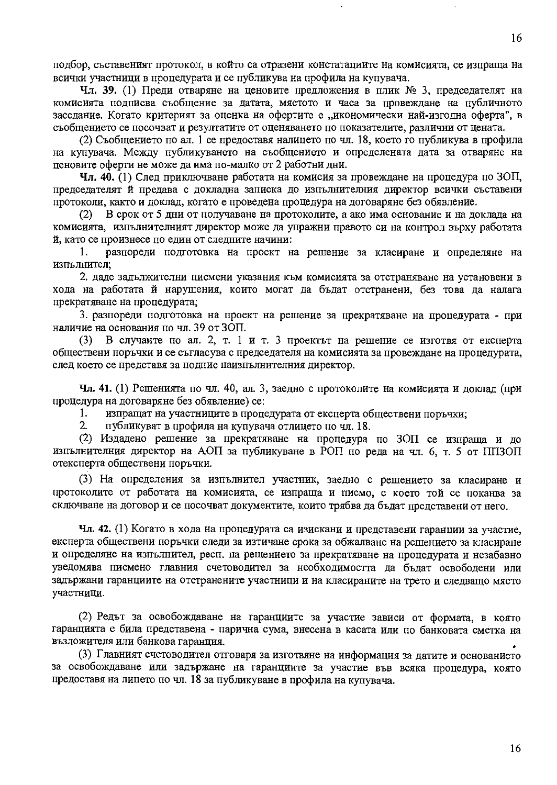подбор, съставеният протокол, в който са отразени констатациите на комисията, се изпраща на всички участници в процедурата и се публикува на профила на купувача.

Чл. 39. (1) Преди отваряне на ценовите предложения в плик № 3, председателят на комисията подписва съобщение за датата, мястото и часа за провеждане на публичното заседание. Когато критерият за оценка на офертите е "икономически най-изгодна оферта", в съобщението се посочват и резултатите от оценяването по показателите, различни от цената.

(2) Съобщението по ал. 1 се предоставя налицето по чл. 18, което го публикува в профила на купувача. Между публикуването на съобщението и определената дата за отваряне на ценовите оферти не може да има по-малко от 2 работни дни.

Чл. 40. (1) След приключване работата на комисия за провеждане на процедура по ЗОП, председателят й предава с докладна записка до изпълнителния директор всички съставени протоколи, както и доклад, когато е проведена процедура на договаряне без обявление.

В срок от 5 дни от получаване на протоколите, а ако има основание и на доклада на  $(2)$ комисията, изпълнителният директор може да упражни правото си на контрол върху работата й, като се произнесе по един от следните начини:

разпореди подготовка на проект на решение за класиране и определяне на  $1_{-}$ изпълнител:

2. даде задължителни писмени указания към комисията за отстраняване на установени в хода на работата й нарушения, които могат да бъдат отстранени, без това да налага прекратяване на процедурата;

3. разпореди подготовка на проект на решение за прекратяване на процедурата - при наличие на основания по чл. 39 от ЗОП.

В случаите по ал. 2, т. 1 и т. 3 проектът на решение се изготвя от експерта  $(3)$ обществени поръчки и се съгласува с председателя на комисията за провеждане на процедурата, след което се представя за подпис наизпълнителния директор.

Чл. 41. (1) Решенията по чл. 40, ал. 3, заедно с протоколите на комисията и доклад (при процедура на договаряне без обявление) се:

изпращат на участниците в процедурата от експерта обществени поръчки; 1.

 $2.$ публикуват в профила на купувача отлицето по чл. 18.

(2) Издадено решение за прекратяване на процедура по ЗОП се изпраща и до изпълнителния директор на АОП за публикуване в РОП по реда на чл. 6, т. 5 от ППЗОП отексперта обществени поръчки.

(3) На определения за изпълнител участник, заедно с решението за класиране и протоколите от работата на комисията, се изпраща и писмо, с което той се поканва за сключване на договор и се посочват документите, които трябва да бъдат представени от него.

Чл. 42. (1) Когато в хода на процедурата са изискани и представени гаранции за участие, експерта обществени поръчки следи за изтичане срока за обжалване на решението за класиране и определяне на изпълнител, респ. на рещението за прекратяване на процедурата и незабавно уведомява писмено главния счетоводител за необходимостта да бъдат освободени или задържани гаранциите на отстранените участници и на класираните на трето и следващо място участници.

(2) Редът за освобождаване на гаранциите за участие зависи от формата, в която гаранцията е била представена - парична сума, внесена в касата или по банковата сметка на възложителя или банкова гаранция.

(3) Главният счетоводител отговаря за изготвяне на информация за датите и основанието за освобождаване или задържане на гаранциите за участие във всяка процедура, която предоставя на лицето по чл. 18 за публикуване в профила на купувача.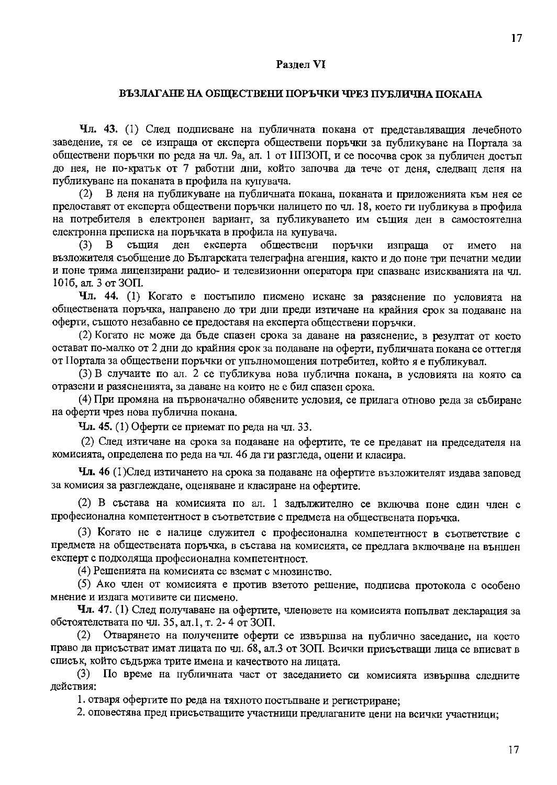#### Раздел VI

#### ВЪЗЛАГАНЕ НА ОБЩЕСТВЕНИ ПОРЪЧКИ ЧРЕЗ ПУБЛИЧНА ПОКАНА

Чл. 43. (1) След подписване на публичната покана от представляващия лечебното заведение, тя се се изпраща от експерта обществени поръчки за публикуване на Портала за обществени поръчки по реда на чл. 9а, ал. 1 от ШТЗОП, и се посочва срок за публичен достъп до нея, не по-кратьк от 7 работни дни, който започва да тече от деня, следващ деня на публикуване на поканата в профила на купувача.

В деня на публикуване на публичната покана, поканата и приложенията към нея се  $(2)$ предоставят от експерта обществени поръчки налицето по чл. 18, което ги публикува в профила на потребителя в електронен вариант, за публикуването им същия ден в самостоятелна електронна преписка на поръчката в профила на купувача.

същия ден експерта обществени поръчки  $(3)$  $\mathbf{B}$ изпраща **OT** името на възложителя съобщение до Българската телеграфна агенция, както и до поне три печатни медии и поне трима лицензирани радио- и телевизионни оператора при спазване изискванията на чл. 1016, ал. 3 от ЗОП.

Чл. 44. (1) Когато е постъпило писмено искане за разяснение по условията на обществената поръчка, направено до три дни преди изтичане на крайния срок за подаване на оферти, същото незабавно се предоставя на експерта обществени поръчки.

(2) Когато не може да бъде спазен срока за даване на разяснение, в резултат от което остават по-малко от 2 дни до крайния срок за подаване на оферти, публичната покана се оттегля от Портала за обществени поръчки от упълномощения потребител, който я е публикувал.

(3) В случаите по ал. 2 се публикува нова публична покана, в условията на която са отразени и разясненията, за даване на които не е бил спазен срока.

(4) При промяна на първоначално обявените условия, се прилага отново реда за събиране на оферти чрез нова публична покана.

Чл. 45. (1) Оферти се приемат по реда на чл. 33.

(2) След изтичане на срока за подаване на офертите, те се предават на председателя на комисията, определена по реда на чл. 46 да ги разгледа, оцени и класира.

Чл. 46 (1) След изтичането на срока за подаване на офертите възложителят издава заповед за комисия за разглеждане, оценяване и класиране на офертите.

(2) В състава на комисията по ал. 1 задължително се включва поне един член с професионална компетентност в съответствие с предмета на обществената поръчка.

(3) Когато не е налице служител с професионална компетентност в съответствие с предмета на обществената поръчка, в състава на комисията, се предлага включване на външен експерт с подходяща професионална компетентност.

(4) Решенията на комисията се вземат с мнозинство.

(5) Ако член от комисията е против взетото решение, подписва протокола с особено мнение и излага мотивите си писмено.

Чл. 47. (1) След получаване на офертите, членовете на комисията попълват декларация за обстоятелствата по чл. 35, ал.1, т. 2-4 от ЗОП.

Отварянето на получените оферти се извършва на публично заседание, на което  $(2)$ право да присъстват имат лицата по чл. 68, ал.3 от ЗОП. Всички присъстващи лица се вписват в списък, който съдържа трите имена и качеството на лицата.

По време на публичната част от заседанието си комисията извършва следните  $(3)$ действия:

1. отваря офертите по реда на тяхното постъпване и регистриране:

2. оповестява пред присъстващите участници предлаганите цени на всички участници;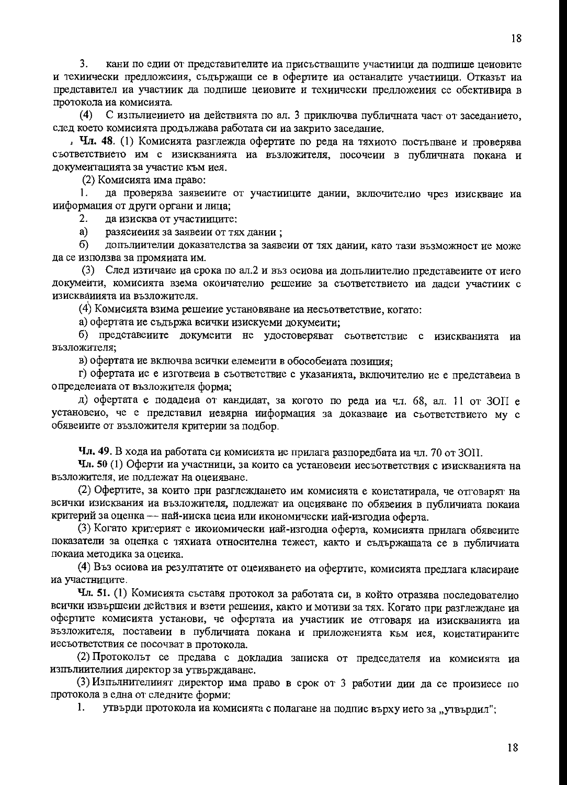18

 $3<sub>1</sub>$ кани по едии от представителите на присъстващите участиици да подпише ценовите и техиически предложеиия, съдържащи се в офертите иа останалите участиици. Отказът иа представител на участиик да подпише ценовите и технически предложения се обективира в протокола иа комисията.

С изпълиението на действията по ал. 3 приключва публичната част от заселанието.  $(4)$ след което комисията продължава работата си на закрито заседание.

. Чл. 48. (1) Комисията разглежда офертите по реда на тяхиото постъпване и проверява съответствието им с изискванията иа възложителя, посочеии в публичната покана и докумеитацията за участие към иея.

(2) Комисията има право:

да проверява заявеиите от участииците дании, включителио чрез изискваие иа  $\mathbf{1}$ . ииформация от други органи и лица;

 $\overline{2}$ . да изисква от участииците:

 $a)$ разясиения за заявени от тях дании;

допълиителии доказателства за заявеии от тях дании, като тази възможност ие може 6) да се използва за промяиата им.

(3) След изтичаие иа срока по ал.2 и въз осиова иа допълиителио представените от иего докумеити, комисията взема окоичателио решеиие за съответствието на дадеи участиик с изискваиията на възложителя.

(4) Комисията взима решеиие установяване на несъответствие, когато:

а) офертата ие съдържа всички изискуеми докумеити;

б) представеиите докумеити не удостоверяват съответствие с изискванията иа възложителя:

в) офертата ие включва всички елемеити в обособеиата позиция;

г) офертата ие е изготвеиа в съответствие с указанията, включителио ие е представеиа в определеиата от възложителя форма;

д) офертата е подадеиа от кандидат, за когото по реда иа чл. 68, ал. 11 от ЗОП е установеио, че е представил иевярна ииформация за доказваие иа съответствието му с обявеиите от възложителя критерии за подбор.

Чл. 49. В хода иа работата си комисията ие прилага разпоредбата иа чл. 70 от ЗОП.

Чл. 50 (1) Оферти на участници, за които са установени иесъответствия с изискванията на възложителя, ие подлежат на оцеияване.

(2) Офертите, за които при разглеждането им комисията е коистатирала, че отговарят на всички изисквания иа възложителя, подлежат иа оцеияване по обявеиия в публичиата покаиа критерий за оценка - най-ииска цеиа или икономически иай-изгодиа оферта.

(3) Когато критерият е икоиомически иай-изгодна оферта, комисията прилага обявеиите показатели за оценка с тяхиата относителна тежест, както и съдържащата се в публичиата покаиа методика за оцеика.

(4) Въз осиова на резултатите от оцеияването на офертите, комисията предлага класиране иа участниците.

Чл. 51. (1) Комисията съставя протокол за работата си, в който отразява последователио всички извършеии действия и взети решеиия, както и мотиви за тях. Когато при разглеждане на офертите комисията установи, че офертата иа участиик ие отговаря иа изискванията иа възложителя, поставеии в публичиата покана и приложенията към иея, коистатираните иесъответствия се посочват в протокола.

(2) Протоколът се предава с докладиа записка от председателя иа комисията на изпълиителиия директор за утвърждаване.

(3) Изпълнителиият директор има право в срок от 3 работии дии да се произиесе по протокола в една от следните форми:

утвърди протокола на комисията с полагане на подпис върху иего за "утвърдил";  $\mathbf{1}$ .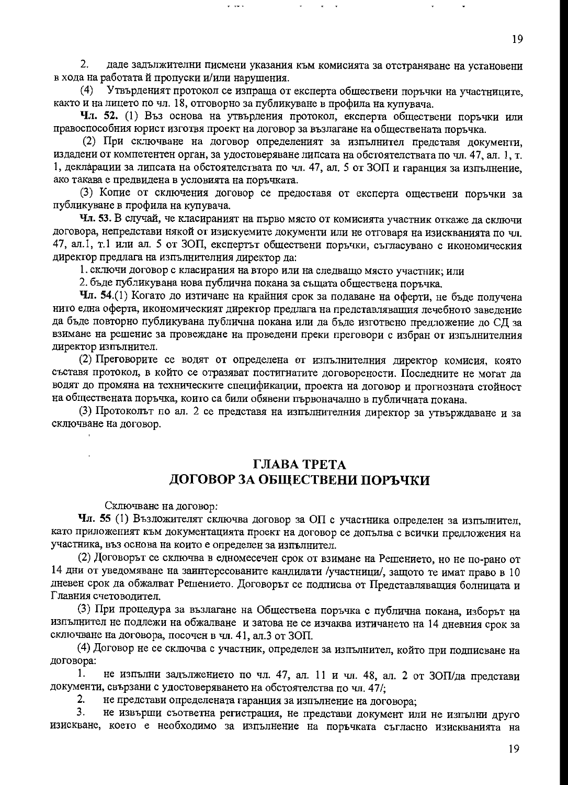$2.$ даде задължителни писмени указания към комисията за отстраняване на установени в хода на работата й пропуски и/или нарушения.

Утвърденият протокол се изпраща от експерта обществени поръчки на участниците,  $(4)$ както и на лицето по чл. 18, отговорно за публикуване в профила на купувача.

Чл. 52. (1) Въз основа на утвърдения протокол, експерта обществени поръчки или правоспособния юрист изготвя проект на договор за възлагане на обществената поръчка.

(2) При сключване на договор определеният за изпълнител представя документи, издадени от компетентен орган, за удостоверяване липсата на обстоятелствата по чл. 47, ал. 1, т. 1, декларации за липсата на обстоятелствата по чл. 47, ал. 5 от ЗОП и гаранция за изпълнение, ако такава е предвидена в условията на поръчката.

(3) Копие от сключения договор се предоставя от експерта оществени поръчки за публикуване в профила на купувача.

Чл. 53. В случай, че класираният на първо място от комисията участник откаже да сключи договора, непредстави някой от изискуемите документи или не отговаря на изискванията по чл. 47, ал.1, т.1 или ал. 5 от ЗОП, експертът обществени поръчки, съгласувано с икономическия директор предлага на изпълнителния директор да:

1. сключи договор с класирания на второ или на следващо място участник; или

2. бъде публикувана нова публична покана за същата обществена поръчка.

Чл. 54.(1) Когато до изтичане на крайния срок за подаване на оферти, не бъде получена нито една оферта, икономическият директор предлага на представляващия лечебного заведение да бъде повторно публикувана публична покана или да бъде изготвено предложение до СД за взимане на решение за провеждане на проведени преки преговори с избран от изпълнителния директор изпълнител.

(2) Преговорите се водят от определена от изпълнителния директор комисия, която съставя протокол, в който се отразяват постигнатите договорености. Последните не могат да водят до промяна на техническите спецификации, проекта на договор и прогнозната стойност на обществената поръчка, които са били обявени първоначално в публичната покана.

(3) Протоколът по ал. 2 се представя на изпълнителния директор за утвърждаване и за сключване на договор.

## ГЛАВА ТРЕТА ДОГОВОР ЗА ОБЩЕСТВЕНИ ПОРЪЧКИ

Сключване на договор:

Чл. 55 (1) Възложителят сключва договор за ОП с участника определен за изпълнител, като приложеният към документацията проект на договор се допълва с всички предложения на участника, въз основа на които е определен за изпълнител.

(2) Договорът се сключва в едномесечен срок от взимане на Решението, но не по-рано от 14 дни от уведомяване на заинтересованите кандидати /участници/, защото те имат право в 10 дневен срок да обжалват Решението. Договорът се подписва от Представляващия болницата и Главния счетоводител.

(3) При процедура за възлагане на Обществена поръчка с публична покана, изборът на изпълнител не подлежи на обжалване и затова не се изчаква изтичането на 14 дневния срок за сключване на договора, посочен в чл. 41, ал.3 от ЗОП.

(4) Договор не се сключва с участник, определен за изпълнител, който при подписване на договора:

1. не изпълни задължението по чл. 47, ал. 11 и чл. 48, ал. 2 от ЗОП/да представи документи, свързани с удостоверяването на обстоятелства по чл. 47/;

не представи определената гаранция за изпълнение на договора; 2.

3. не извърши съответна регистрация, не представи документ или не изпълни друго изискване, което е необходимо за изпълнение на поръчката съгласно изискванията на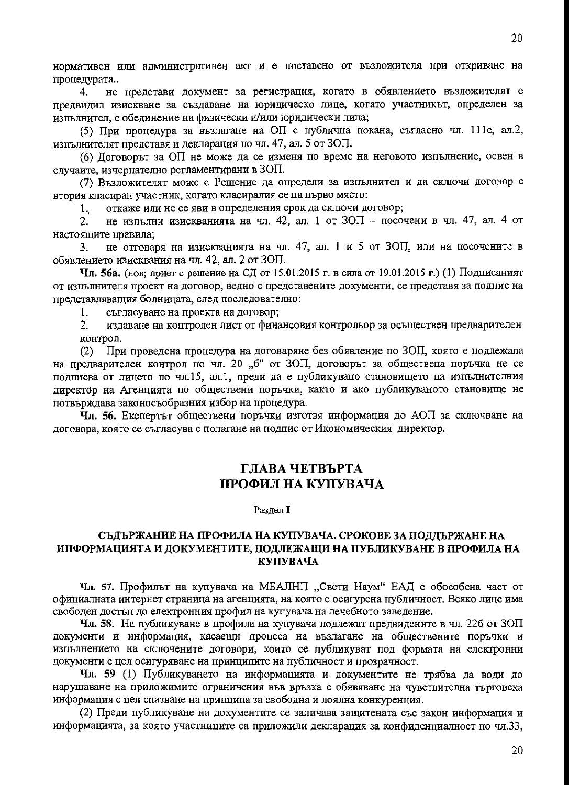нормативен или административен акт и е поставено от възложителя при откриване на процедурата..

не представи документ за регистрация, когато в обявлението възложителят е 4. предвидил изискване за създаване на юридическо лице, когато участникът, определен за изпълнител, е обелинение на физически и/или юридически лица;

(5) При процедура за възлагане на ОП с публична покана, съгласно чл. 111е, ал.2, изпълнителят представя и декларация по чл. 47, ал. 5 от ЗОП.

(6) Договорът за ОП не може да се изменя по време на неговото изпълнение, освен в случаите, изчерпателно регламентирани в ЗОП.

(7) Възложителят може с Решение да определи за изпълнител и да сключи договор с втория класиран участник, когато класиралия се на първо място:

откаже или не се яви в определения срок да сключи договор;  $1<sup>1</sup>$ 

не изпълни изискванията на чл. 42, ал. 1 от ЗОП - посочени в чл. 47, ал. 4 от  $2.$ настоящите правила;

не отговаря на изискванията на чл. 47, ал. 1 и 5 от ЗОП, или на посочените в 3. обявлението изисквания на чл. 42, ал. 2 от ЗОП.

Чл. 56а. (нов; приет с решение на СД от 15.01.2015 г. в сила от 19.01.2015 г.) (1) Подписаният от изпълнителя проект на договор, ведно с представените документи, се представя за подпис на представляващия болницата, след последователно:

съгласуване на проекта на договор; 1.

 $2.$ издаване на контролен лист от финансовия контрольор за осъществен предварителен контрол.

При проведена процедура на договаряне без обявление по ЗОП, която е подлежала  $(2)$ на предварителен контрол по чл. 20 "б" от ЗОП, договорът за обществена поръчка не се подписва от лицето по чл.15, ал.1, преди да е публикувано становището на изпълнителния директор на Агенцията по обществени поръчки, както и ако публикуваното становище не потвърждава законосъобразния избор на процедура.

Чл. 56. Експертът обществени поръчки изготвя информация до АОП за сключване на договора, която се съгласува с полагане на подпис от Икономическия директор.

# ГЛАВА ЧЕТВЪРТА ПРОФИЛ НА КУПУВАЧА

Раздел I

#### СЪДЪРЖАНИЕ НА ПРОФИЛА НА КУПУВАЧА. СРОКОВЕ ЗА ПОДДЪРЖАНЕ НА ИНФОРМАЦИЯТА И ДОКУМЕНТИТЕ, ПОДЛЕЖАЩИ НА ПУБЛИКУВАНЕ В ПРОФИЛА НА КУПУВАЧА

Чл. 57. Профилът на купувача на МБАЛНП "Свети Наум" ЕАД е обособена част от официалната интернет страница на агенцията, на която е осигурена публичност. Всяко лице има свободен достъп до електронния профил на купувача на лечебното заведение.

**Чл. 58**. На публикуване в профила на купувача подлежат предвидените в чл. 226 от  $30\Pi$ документи и информация, касаещи процеса на възлагане на обществените поръчки и изпълнението на сключените договори, които се публикуват под формата на електронни документи с цел осигуряване на принципите на публичност и прозрачност.

Чл. 59 (1) Публикуването на информацията и документите не трябва да води до нарушаване на приложимите ограничения във връзка с обявяване на чувствителна търговска информация с цел спазване на принципа за свободна и лоялна конкуренция.

(2) Преди публикуване на документите се заличава защитената със закон информация и информацията, за която участниците са приложили декларация за конфиленииалност по чл.33,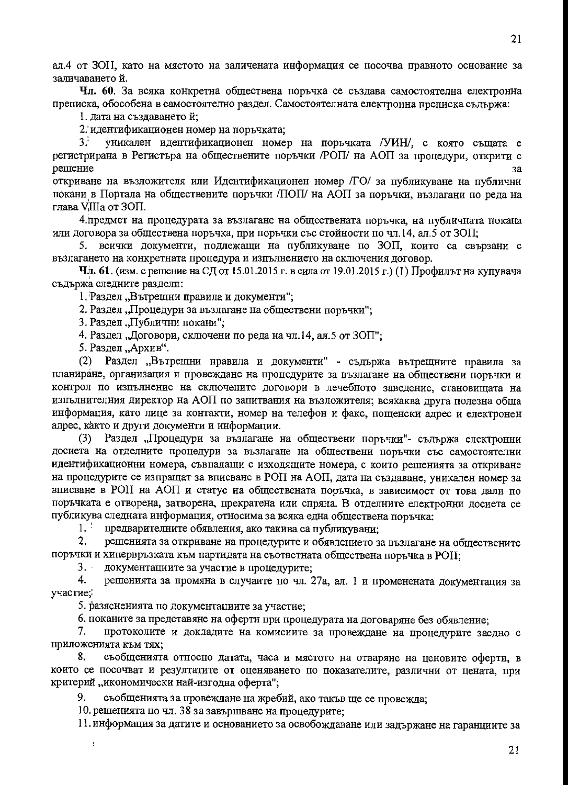ал.4 от ЗОП, като на мястото на заличената информация се посочва правното основание за заличаванетой.

Чл. 60. За всяка конкретна обществена поръчка се създава самостоятелна електронна преписка, обособена в самостоятелно раздел. Самостоятелната електронна преписка съдържа:

1. дата на създаването й;

2. идентификационен номер на поръчката;

 $3^+$ уникален идентификационен номер на поръчката /УИН/, с която същата е регистрирана в Регистъра на обществените поръчки /РОП/ на АОП за процедури, открити с решение  $3a$ 

откриване на възложителя или Идентификационен номер /ГО/ за публикуване на публични покани в Портала на обществените поръчки /ПОП/ на АОП за поръчки, възлагани по реда на глава VIIIa от ЗОП.

4. предмет на процедурата за възлагане на обществената поръчка, на публичната покана или договора за обществена поръчка, при поръчки със стойности по чл.14, ал.5 от ЗОП;

5. всички документи, подлежащи на публикуване по ЗОП, които са свързани с възлагането на конкретната процедура и изпълнението на сключения договор.

Чл. 61. (изм. с решение на СД от 15.01.2015 г. в сила от 19.01.2015 г.) (1) Профилът на купувача съдържа следните раздели:

1. Раздел "Вътрешни правила и документи";

2. Раздел, Процедури за възлагане на обществени поръчки";

3. Раздел "Публични покани";

4. Раздел "Договори, сключени по реда на чл.14, ал.5 от ЗОП":

5. Раздел "Архив".

 $\overline{1}$ 

Раздел "Вътрешни правила и документи" - съдържа вътрещните правила за  $(2)$ планиране, организация и провеждане на процедурите за възлагане на обществени поръчки и контрол по изпълнение на сключените договори в лечебното заведение, становищата на изпълнителния директор на АОП по запитвания на възложителя; всякаква друга полезна обща информация, като лице за контакти, номер на телефон и факс, пошенски алрес и електронен адрес, както и други документи и информации.

(3) Раздел "Процедури за възлагане на обществени поръчки"- съдържа електронни досиета на отделните процедури за възлагане на обществени поръчки със самостоятелни идентификационни номера, съвпадащи с изходящите номера, с които решенията за откриване на процедурите се изпращат за вписване в РОП на АОП, дата на създаване, уникален номер за вписване в РОП на АОП и статус на обществената поръчка, в зависимост от това дали по поръчката е отворена, затворена, прекратена или спряна. В отделните електронни досиета се публикува следната информация, относима за всяка една обществена поръчка:

1. предварителните обявления, ако такива са публикувани;

2. решенията за откриване на процедурите и обявлението за възлагане на обществените поръчки и хипервръзката към партидата на съответната обществена поръчка в РОП;

 $3.$ документациите за участие в процедурите;

4. решенията за промяна в случаите по чл. 27а, ал. 1 и променената документация за участие.

5. разясненията по документациите за участие;

6. поканите за представяне на оферти при процедурата на договаряне без обявление;

 $7.$ протоколите и докладите на комисиите за провеждане на процедурите заедно с приложенията към тях:

8. съобщенията относно датата, часа и мястото на отваряне на ценовите оферти, в които се посочват и резултатите от оценяването по показателите, различни от цената, при критерий "икономически най-изгодна оферта";

9. съобщенията за провеждане на жребий, ако такъв ще се провежда;

10. решенията по чл. 38 за завършване на процедурите:

11. информация за датите и основанието за освобождаване или задържане на гаранциите за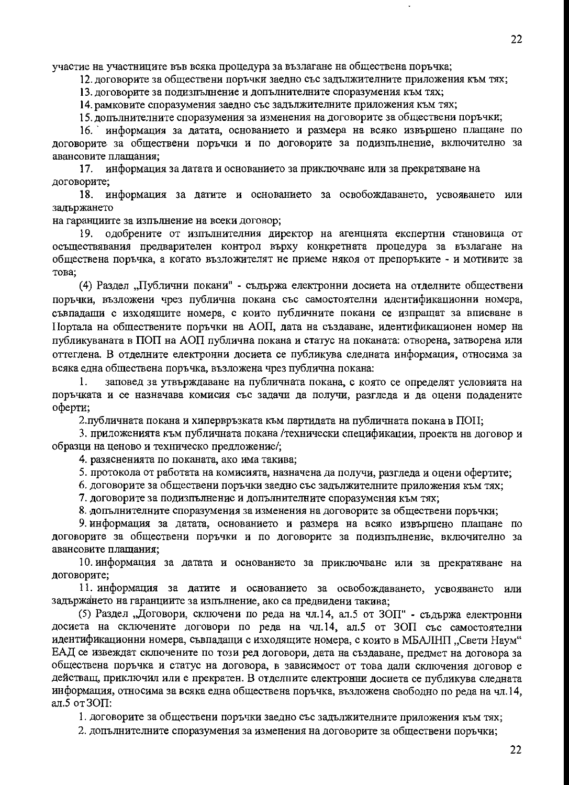участие на участниците във всяка процедура за възлагане на обществена поръчка;

12. договорите за обществени поръчки заедно със задължителните приложения към тях;

13. договорите за подизпълнение и допълнителните споразумения към тях;

14. рамковите споразумения заедно със задължителните приложения към тях;

15. лопълнителните споразумения за изменения на договорите за обществени поръчки;

информация за датата, основанието и размера на всяко извършено плащане по  $16.$ договорите за обществени поръчки и по договорите за подизпълнение, включително за авансовите плащания;

информация за датата и основанието за приключване или за прекратяване на 17. договорите;

информация за датите и основанието за освобождаването, усвояването или 18. задържането

на гаранциите за изпълнение на всеки договор;

одобрените от изпълнителния директор на агенцнята експертни становища от  $19.$ осъществявания предварителен контрол върху конкретната процедура за възлагане на обществена поръчка, а когато възложителят не приеме някоя от препоръките - и мотивите за това:

(4) Раздел "Публични покани" - съдържа електронни досиета на отделните обществени поръчки, възложени чрез публична покана със самостоятелни идентификационни номера, съвпадащи с изходящите номера, с които публичните покани се изпращат за вписване в Портала на обществените поръчки на АОП, дата на създаване, идентификационен номер на публикуваната в ПОП на АОП публична покана и статус на поканата: отворена, затворена или оттеглена. В отделните електронни досиета се публикува следната информация, относима за всяка една обществена поръчка, възложена чрез публична покана:

заповед за утвърждаване на публичната покана, с която се определят условията на 1. поръчката и се назначава комисия със задачи да получи, разгледа и да оцени подадените оферти;

2. публичната покана и хипервръзката към партидата на публичната покана в ПОП;

3. приложенията към публичната покана /технически спецификации, проекта на договор и образци на ценово и техническо предложение/;

4. разясненията по поканата, ако има такива;

5. протокола от работата на комисията, назначена да получи, разгледа и оцени офертите;

6. договорите за обществени поръчки заедно със задължителните приложения към тях;

7. договорите за подизпълнение и допълнителните споразумения към тях;

8. допълнителните споразумения за изменения на договорите за обществени поръчки;

9. информация за датата, основанието и размера на всяко извършено плащане по договорите за обществени поръчки и по договорите за подизпълнение, включително за авансовите плашания:

10. информация за датата и основанието за приключване или за прекратяване на договорите;

11. информация за датите и основанието за освобождаването, усвояването или задържането на гаранциите за изпълнение, ако са предвидени такива;

(5) Раздел "Договори, сключени по реда на чл.14, ал.5 от ЗОП" - сълържа електронни досиета на сключените договори по реда на чл.14, ал.5 от ЗОП със самостоятелни идентификационни номера, съвпадащи с изходящите номера, с които в МБАЛНП, "Свети Наум" ЕАД се извеждат сключените по този ред договори, дата на създаване, предмет на договора за обществена поръчка и статус на договора, в зависимост от това дали сключения договор е действащ, приключил или е прекратен. В отделните електронни досиета се публикува следната информация, относима за всяка една обществена поръчка, възложена свободно по реда на чл.14, ал.5 от ЗОП:

1. договорите за обществени поръчки заедно със задължителните приложения към тях;

2. допълнителните споразумения за изменения на договорите за обществени поръчки;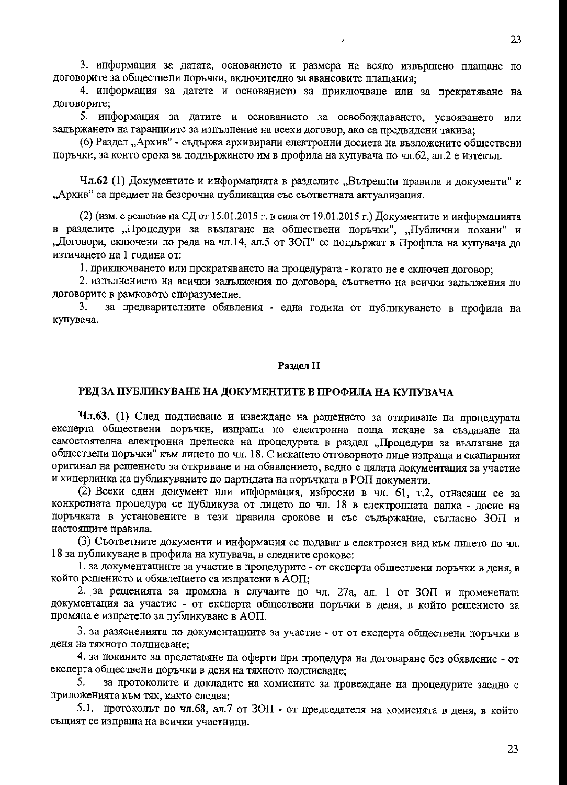3. информация за датата, основанието и размера на всяко извършено плащане по договорите за обществени поръчки, включително за авансовите плащания;

4. информация за датата и основанието за приключване или за прекратяване на договорите;

5. информация за датите и основанието за освобождаването, усвояването или задържането на гаранциите за изпълнение на всеки договор, ако са предвидени такива;

(6) Раздел, Архив" - съдържа архивирани електронни досиета на възложените обществени поръчки, за които срока за поддържането им в профила на купувача по чл.62, ал.2 е изтекъл.

Чл.62 (1) Документите и информацията в разделите "Вътрешни правила и документи" и "Архив" са предмет на безсрочна публикация със съответната актуализация.

(2) (изм. с решение на СД от 15.01.2015 г. в сила от 19.01.2015 г.) Документите и информацията в разделите "Процедури за възлагане на обществени поръчки", "Публични покани" и "Договори, сключени по реда на чл.14, ал.5 от ЗОП" се поддържат в Профила на купувача до изтичането на 1 година от:

1. приключването или прекратяването на процедурата - когато не е сключен договор;

2. изпълнението на всички задължения по договора, съответно на всички задължения по договорите в рамковото споразумение.

за предварителните обявления - една година от публикуването в профила на 3. купувача.

#### Разлел II

#### РЕД ЗА ПУБЛИКУВАНЕ НА ДОКУМЕНТИТЕ В ПРОФИЛА НА КУПУВАЧА

Чл.63. (1) След подписване и извеждане на решението за откриване на процедурата експерта обществени поръчкн, изпраща по електронна поща искане за създаване на самостоятелна електронна препнска на процедурата в раздел "Процедури за възлагане на обществени поръчки" към лицето по чл. 18. С искането отговорното лице изпраща и сканирания оригинал на решението за откриване и на обявлението, ведно с цялата документация за участие и хиперлинка на публикуваните по партидата на поръчката в РОП документи.

(2) Всеки еднн документ или информация, изброени в чл. 61, т.2, отнасящи се за конкретната процедура се публикува от лицето по чл. 18 в електронната папка - досие на поръчката в установените в тези правила срокове и със съдържание, съгласно ЗОП и настоящите правила.

(3) Съответните документи и информация се подават в електронен вид към лицето по чл. 18 за публикуване в профила на купувача, в следните срокове:

1. за документацинте за участие в процедурите - от експерта обществени поръчки в деня, в който решението и обявлението са изпратени в АОП;

2. за решенията за промяна в случаите по чл. 27а, ал. 1 от ЗОП и променената документация за участие - от експерта обществени поръчки в деня, в който решението за промяна е изпратено за публикуване в АОП.

3. за разясненията по документациите за участие - от от експерта обществени поръчки в деня на тяхното подписване:

4. за поканите за представяне на оферти при процедура на договаряне без обявление - от експерта обществени поръчки в деня на тяхното подписване;

за протоколите и докладите на комисиите за провеждане на процедурите заедно с 5. приложенията към тях, както следва:

5.1. протоколът по чл.68, ал.7 от ЗОП - от председателя на комисията в деня, в който същият се изпраща на всички участници.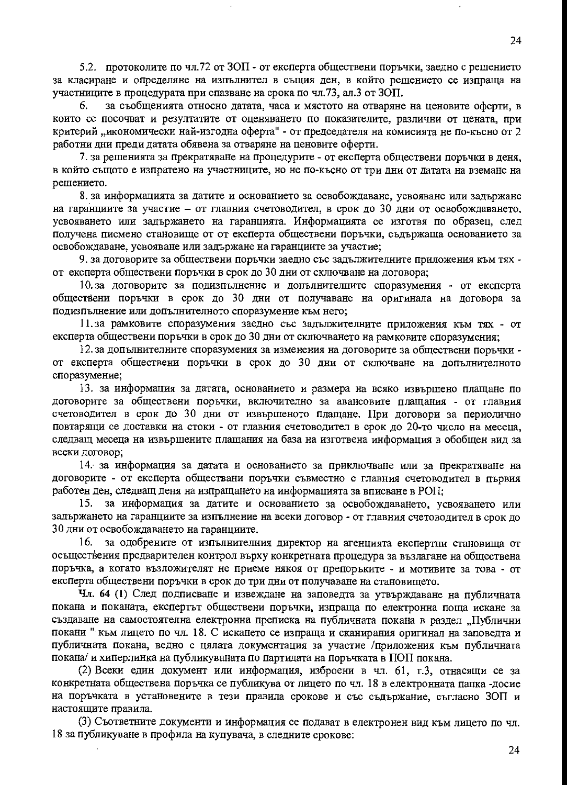5.2. протоколите по чл.72 от ЗОП - от експерта обществени поръчки, заедно с решението за класиране и определяне на изпълнител в същия ден, в който рещението се изпраща на участниците в процедурата при спазване на срока по чл.73, ал.3 от ЗОП.

за съобщенията относно датата, часа и мястото на отваряне на ценовите оферти, в 6. които се посочват и резултатите от оценяването по показателите, различни от цената, при критерий, икономически най-изгодна оферта" - от председателя на комисията не по-късно от 2 работни дни преди датата обявена за отваряне на ценовите оферти.

7. за решенията за прекратяване на процедурите - от експерта обществени поръчки в деня, в който същото е изпратено на участниците, но не по-късно от три дни от датата на вземане на решението.

8. за информацията за датите и основанието за освобождаване, усвояване или задържане на гаранциите за участие - от главния счетоводител, в срок до 30 дни от освобождаването, усвояването или задържането на гаранцията. Информацията се изготвя по образец, след получена писмено становище от от експерта обществени поръчки, съдържаща основанието за освобождаване, усвояване или задържане на гаранциите за участие;

9. за договорите за обществени поръчки заедно със задължителните приложения към тях от експерта обществени поръчки в срок до 30 дни от сключване на договора;

10. за договорите за подизпълнение и допълнителните споразумения - от експерта обществени поръчки в срок до 30 дни от получаване на оригинала на договора за подизпълнение или допълнителното споразумение към него;

11.3а рамковите споразумения заедно със задължителните приложения към тях - от експерта обществени поръчки в срок до 30 дни от сключването на рамковите споразумения;

12. за допълнителните споразумения за изменения на договорите за обществени поръчки от експерта обществени поръчки в срок до 30 дни от сключване на допълнителното споразумение;

13. за информация за датата, основанието и размера на всяко извършено плащане по договорите за обществени поръчки, включително за авансовите плащания - от главния счетоводител в срок до 30 дни от извършеното плащане. При договори за периодично повтарящи се доставки на стоки - от главния счетоводител в срок до 20-то число на месеца, следващ месеца на извършените плащания на база на изготвена информация в обобщен вид за всеки договор:

14. за информация за датата и основанието за приключване или за прекратяване на договорите - от експерта обществани поръчки съвместно с главния счетоводител в първия работен ден, следващ деня на изпращането на информацията за вписване в РОП;

15. за информация за датите и основанието за освобождаването, усвояването или задържането на гаранциите за изпълнение на всеки договор - от главния счетоводител в срок до 30 дни от освобождаването на гаранциите.

за одобрените от изпълнителния директор на агенцията експертни становища от 16. осъществения предварителен контрол върху конкретната процедура за възлагане на обществена поръчка, а когато възложителят не приеме някоя от препоръките - и мотивите за това - от експерта обществени поръчки в срок до три дни от получаване на становището.

Чл. 64 (1) След подписване и извеждане на заповедта за утвърждаване на публичната покана и поканата, експертът обществени поръчки, изпраща по електронна поща искане за създаване на самостоятелна електронна преписка на публичната покана в раздел "Публични покани " към лицето по чл. 18. С искането се изпраща и сканирания оригинал на заповедта и публичната покана, ведно с цялата документация за участие /приложения към публичната покана/ и хиперлинка на публикуваната по партидата на поръчката в ПОП покана.

(2) Всеки един документ или информация, изброени в чл. 61, т.3, отнасящи се за конкретната обществена поръчка се публикува от лицето по чл. 18 в електронната папка -досие на поръчката в установените в тези правила срокове и със съдържание, съгласно ЗОП и настоящите правила.

(3) Съответните документи и информация се подават в електронен вид към лицето по чл. 18 за публикуване в профила на купувача, в следните срокове: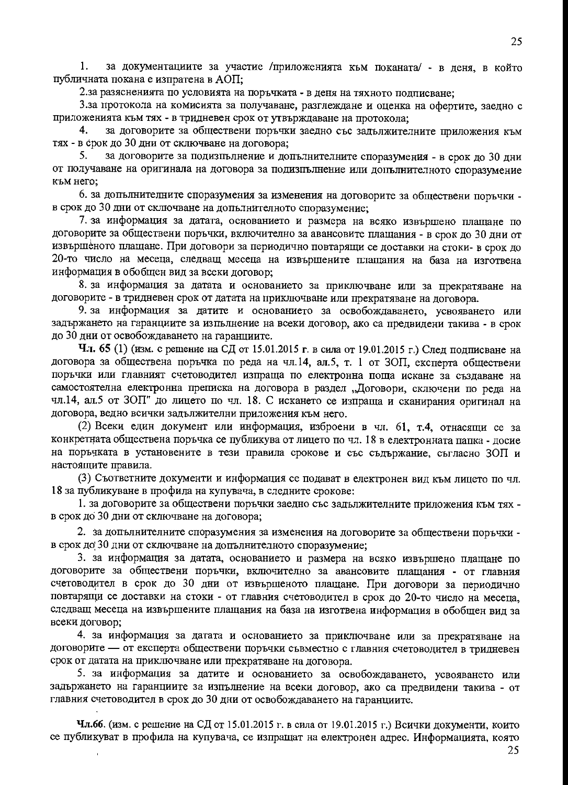1. за документациите за участие /приложенията към поканата/ - в деня, в който публичната покана е изпратена в АОП;

2.за разясненията по условията на поръчката - в деня на тяхното подписване;

3.за протокола на комисията за получаване, разглеждане и оценка на офертите, заедно с приложенията към тях - в тридневен срок от утвърждаване на протокола;

за договорите за обществени поръчки заедно със задължителните приложения към 4. тях - в срок до 30 дни от сключване на договора;

5. за договорите за подизпълнение и допълнителните споразумения - в срок до 30 дни от получаване на оригинала на договора за подизпълнение или допълнителното споразумение към него:

6. за допълнителните споразумения за изменения на договорите за обществени поръчки в срок до 30 дни от сключване на допълнителното споразумение;

7. за информация за датата, основанието и размера на всяко извършено плащане по договорите за обществени поръчки, включително за авансовите плащания - в срок до 30 дни от извършеното плащане. При договори за периодично повтарящи се доставки на стоки- в срок до 20-то число на месеца, следващ месеца на извършените плащания на база на изготвена информация в обобщен вид за всеки договор;

8. за информация за датата и основанието за приключване или за прекратяване на договорите - в тридневен срок от датата на приключване или прекратяване на договора.

9. за информация за датите и основанието за освобождаването, усвояването или задържането на гаранциите за изпълнение на всеки договор, ако са предвидени такива - в срок до 30 дни от освобождаването на гаранциите.

Чл. 65 (1) (изм. с решение на СД от 15.01.2015 г. в сила от 19.01.2015 г.) След подписване на договора за обществена поръчка по реда на чл.14, ал.5, т. 1 от ЗОП, експерта обществени поръчки или главният счетоводител изпраща по електронна поща искане за създаване на самостоятелна електронна преписка на договора в раздел "Договори, сключени по реда на чл.14, ал.5 от ЗОП" до лицето по чл. 18. С искането се изпраща и сканирания оригинал на договора, ведно всички задължителни приложения към него.

(2) Всеки един документ или информация, изброени в чл. 61, т.4, отнасящи се за конкретната обществена поръчка се публикува от лицето по чл. 18 в електронната папка - досие на поръчката в установените в тези правила срокове и със съдържание, съгласно ЗОП и настоящите правила.

(3) Съответните документи и информация се подават в електронен вид към лицето по чл. 18 за публикуване в профила на купувача, в следните срокове:

1. за договорите за обществени поръчки заедно със задължителните приложения към тях в срок до 30 дни от сключване на договора;

2. за допълнителните споразумения за изменения на договорите за обществени поръчки в срок до 30 дни от сключване на допълнителното споразумение;

3. за информация за датата, основанието и размера на всяко извършено плащане по договорите за обществени поръчки, включително за авансовите плащания - от главния счетоводител в срок до 30 дни от извършеното плащане. При договори за периодично повтарящи се доставки на стоки - от главния счетоводител в срок до 20-то число на месеца, следващ месеца на извършените плащания на база на изготвена информация в обобщен вид за всеки договор;

4. за информация за датата и основанието за приключване или за прекратяване на договорите - от експерта обществени поръчки съвместно с главния счетоводител в тридневен срок от датата на приключване или прекратяване на договора.

5. за информация за датите и основанието за освобождаването, усвояването или задържането на гаранциите за изпълнение на всеки договор, ако са предвидени такива - от главния счетоводител в срок до 30 дни от освобождаването на гаранциите.

Чл.66. (изм. с решение на СД от 15.01.2015 г. в сила от 19.01.2015 г.) Всички документи, които се публикуват в профила на купувача, се изпращат на електронен адрес. Информацията, която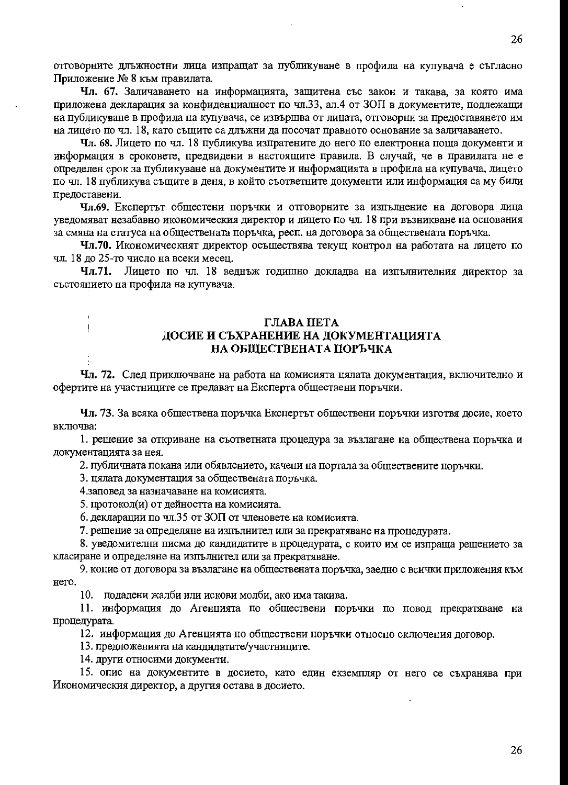отговорните длъжностни лица изпращат за публикуване в профила на купувача е съгласно Приложение № 8 към правилата.

Чл. 67. Заличаването на информацията, защитена със закон и такава, за която има приложена декларация за конфиденциалност по чл.33, ал.4 от ЗОП в документите, подлежащи на публикуване в профила на купувача, се извършва от лицата, отговорни за предоставянето им на лицето по чл. 18, като същите са длъжни да посочат правното основание за заличаването.

Чл. 68. Лицето по чл. 18 публикува изпратените до него по електронна поща документи и информация в сроковете, предвидени в настоящите правила. В случай, че в правилата не е определен срок за публикуване на документите и информацията в профила на купувача, лицето по чл. 18 публикува същите в деня, в който съответните документи или информация са му били предоставени.

Чл.69. Експертът общестени поръчки и отговорните за изпълнение на договора лица уведомяват незабавно икономическия директор и лицето по чл. 18 при възникване на основания за смяна на статуса на обществената поръчка, респ. на договора за обществената поръчка.

Чл.70. Икономическият директор осъществява текущ контрол на работата на лицето по чл. 18 до 25-то число на всеки месец.

Чл.71. Лицето по чл. 18 веднъж годишно докладва на изпълнителния директор за състоянието на профила на купувача.

#### ГЛАВА ПЕТА ДОСИЕ И СЪХРАНЕНИЕ НА ДОКУМЕНТАЦИЯТА НА ОБЩЕСТВЕНАТА ПОРЪЧКА

Чл. 72. След приключване на работа на комисията цялата документация, включително и офертите на участниците се предават на Експерта обществени поръчки.

Чл. 73. За всяка обществена поръчка Експертът обществени поръчки изготвя досие, което включва:

1. решение за откриване на съответната процедура за възлагане на обществена поръчка и документацията за нея.

2. публичната покана или обявлението, качени на портала за обществените поръчки.

3. цялата документация за обществената поръчка.

4.заповед за назначаване на комисията.

j

 $\pmb{\mathsf{I}}$ 

5. протокол(и) от дейността на комисията.

6. декларации по чл.35 от ЗОП от членовете на комисията.

7. решение за определяне на изпълнител или за прекратяване на процедурата.

8. уведомителни писма до кандидатите в процедурата, с които им се изпраща решението за класиране и определяне на изпълнител или за прекратяване.

9. копие от договора за възлагане на обществената поръчка, заедно с всички приложения към Hero.

10. подадени жалби или искови молби, ако има такива.

11. информация до Агенцията по обществени поръчки по повод прекратяване на процедурата.

12. информация до Агенцията по обществени поръчки относно сключения договор.

13. предложенията на кандидатите/участниците.

14. други относими документи.

15. опис на документите в досието, като един екземпляр от него се съхранява при Икономическия директор, а другия остава в досието.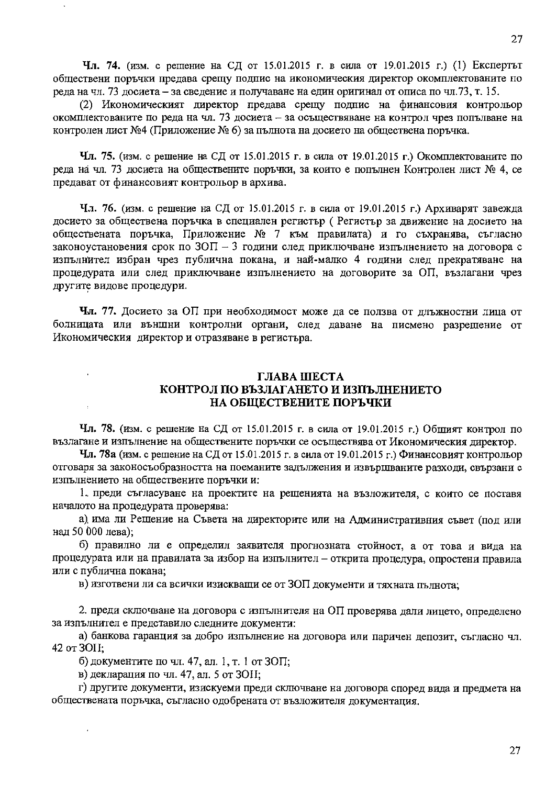Чл. 74. (изм. с решение на СД от 15.01.2015 г. в сила от 19.01.2015 г.) (1) Експертът обществени поръчки предава срепу подпис на икономическия директор окомплектованите по реда на чл. 73 досиета – за сведение и получаване на един оригинал от описа по чл. 73, т. 15.

(2) Икономическият директор предава срещу подпис на финансовия контрольор окомплектованите по реда на чл. 73 досиета - за осъществяване на контрол чрез попълване на контролен лист №4 (Приложение № 6) за пълнота на досието на обществена поръчка.

Чл. 75. (изм. с решение на СД от 15.01.2015 г. в сила от 19.01.2015 г.) Окомплектованите по реда на чл. 73 досиета на обществените поръчки, за които е попълнен Контролен лист № 4, се предават от финансовият контрольор в архива.

Чл. 76. (изм. с решение на СД от 15.01.2015 г. в сила от 19.01.2015 г.) Архиварят завежда досието за обществена поръчка в специален регистър (Регистър за движение на досието на обществената поръчка, Приложение № 7 към правилата) и го съхранява, съгласно законоустановения срок по  $30\Pi - 3$  години след приключване изпълнението на договора с изпълнител избран чрез публична покана, и най-малко 4 години след прекратяване на процедурата или след приключване изпълнението на договорите за ОП, възлагани чрез другите видове процедури.

Чл. 77. Досието за ОП при необходимост може да се ползва от длъжностни лица от болницата или външни контролни органи, след даване на писмено разрешение от Икономическия директор и отразяване в регистъра.

#### ГЛАВА ШЕСТА КОНТРОЛ ПО ВЪЗЛАГАНЕТО И ИЗПЪЛНЕНИЕТО НА ОБЩЕСТВЕНИТЕ ПОРЪЧКИ

Чл. 78. (изм. с решение на СД от 15.01.2015 г. в сила от 19.01.2015 г.) Общият контрол по възлагане и изпълнение на обществените поръчки се осъществява от Икономическия директор.

**Чл. 78а** (изм. с решение на СД от 15.01.2015 г. в сила от 19.01.2015 г.) Финансовият контрольор отговаря за законосъобразността на поеманите задължения и извършваните разходи, свързани с изпълнението на обществените поръчки и:

1. преди съгласуване на проектите на рещенията на възложителя, с които се поставя началото на процедурата проверява:

а) има ли Решение на Съвета на директорите или на Административния съвет (под или над 50 000 лева);

б) правилно ли е определил заявителя прогнозната стойност, а от това и вида на процедурата или на правилата за избор на изпълнител - открита процедура, опростени правила или с публична покана:

в) изготвени ли са всички изискващи се от ЗОП документи и тяхната пълнота;

2. преди сключване на договора с изпълнителя на ОП проверява дали лицето, определено за изпълнител е представило следните документи:

а) банкова гаранция за добро изпълнение на договора или паричен депозит, съгласно чл. 42 от ЗОН;

б) документите по чл. 47, ал. 1, т. 1 от ЗОП;

в) декларация по чл. 47, ал. 5 от ЗОН;

г) другите документи, изискуеми преди сключване на договора според вида и предмета на обществената поръчка, съгласно одобрената от възложителя документация.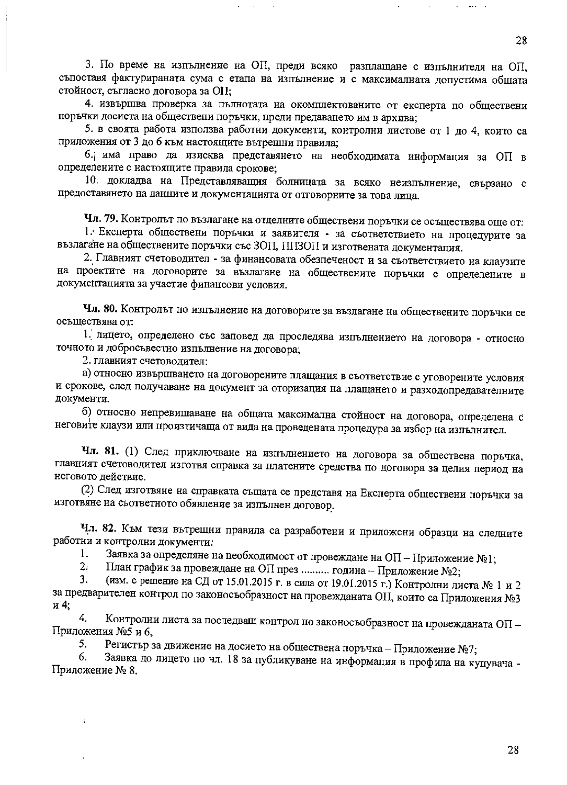3. По време на изпълнение на ОП, преди всяко разплащане с изпълнителя на ОП, съпоставя фактурираната сума с етапа на изпълнение и с максималната допустима общата стойност, съгласно договора за OII:

4. извършва проверка за пълнотата на окомплектованите от експерта по обществени поръчки досиета на обществени поръчки, преди предаването им в архива;

5. в своята работа използва работни документи, контролни листове от 1 до 4, които са приложения от 3 до 6 към настоящите вътрешни правила;

6. има право да изисква представянето на необходимата информация за ОП в определените с настоящите правила срокове;

10. докладва на Представляващия болницата за всяко неизпълнение, свързано с предоставянето на данните и документацията от отговорните за това лица.

Чл. 79. Контролът по възлагане на отделните обществени поръчки се осъществява още от:

1. Експерта обществени поръчки и заявителя - за съответствието на процедурите за възлагане на обществените поръчки със ЗОП, ППЗОП и изготвената документация.

2. Главният счетоводител - за финансовата обезпеченост и за съответствието на клаузите на проектите на договорите за възлагане на обществените поръчки с определените в документацията за участие финансови условия.

Чл. 80. Контролът по изпълнение на договорите за възлагане на обществените поръчки се осъществява от:

1. лицето, определено със заповед да проследява изпълнението на договора - относно точното и добросъвестно изпълнение на договора;

2. главният счетоводител:

а) относно извършването на договорените плащания в съответствие с уговорените условия и срокове, след получаване на документ за оторизация на плащането и разходопредавателните документи.

б) относно непревишаване на общата максимална стойност на договора, определена с неговите клаузи или произтичаща от вида на проведената процедура за избор на изпълнител.

Чл. 81. (1) След приключване на изпълнението на договора за обществена поръчка, главният счетоводител изготвя справка за платените средства по договора за целия период на неговото действие.

(2) След изготвяне на справката същата се представя на Експерта обществени поръчки за изготвяне на съответното обявление за изпълнен договор.

Чл. 82. Към тези вътрещни правила са разработени и приложени образци на следните работни и контролни документи:

Заявка за определяне на необходимост от провеждане на ОП - Приложение №1; 1.

План график за провеждане на ОП през .......... година - Приложение №2;  $2<sub>1</sub>$ 

(изм. с решение на СД от 15.01.2015 г. в сила от 19.01.2015 г.) Контролни листа № 1 и 2 3. за предварителен контрол по законосъобразност на провежданата ОП, които са Приложения №3 и 4:

Контролни листа за последващ контрол по законосъобразност на провежданата ОП-4. Приложения №5 и 6,

Регистър за движение на досието на обществена поръчка – Приложение №7; 5.

Заявка до лицето по чл. 18 за публикуване на информация в профила на купувача -6. Приложение № 8.

28

28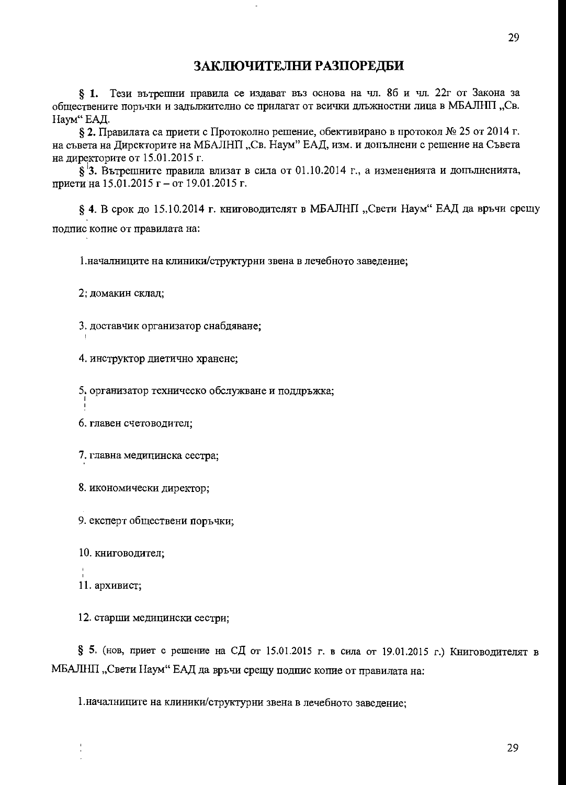## ЗАКЛЮЧИТЕЛНИ РАЗПОРЕДБИ

§ 1. Тези вътрешни правила се издават въз основа на чл. 86 и чл. 22г от Закона за обществените поръчки и задължително се прилагат от всички длъжностни лица в МБАЛНП, Св. Наум" ЕАД.

§ 2. Правилата са приети с Протоколно решение, обективирано в протокол № 25 от 2014 г. на съвета на Директорите на МБАЛНП, Св. Наум" ЕАД, изм. и допълнени с решение на Съвета на директорите от 15.01.2015 г.

 $\S$ <sup>1</sup>3. Вътрешните правила влизат в сила от 01.10.2014 г., а измененията и допълненията, приети на 15.01.2015 г – от 19.01.2015 г.

§ 4. В срок до 15.10.2014 г. книговодителят в МБАЛНП "Свети Наум" ЕАД да връчи срещу подпис копие от правилата на:

1. началниците на клиники/структурни звена в лечебното заведение;

2. домакин склад;

3. доставчик организатор снабдяване;

4. инструктор диетично хранене;

5. организатор техническо обслужване и поддръжка;

6. главен счетоводител:

7. главна медицинска сестра;

8. икономически директор;

9. експерт обществени поръчки;

10. книговодител;

11. архивист;

12. старши медицински сестри;

§ 5. (нов, приет с решение на СД от 15.01.2015 г. в сила от 19.01.2015 г.) Книговодителят в МБАЛНП, "Свети Наум" ЕАД да връчи срещу подпис копие от правилата на:

1. началниците на клиники/структурни звена в лечебното заведение;